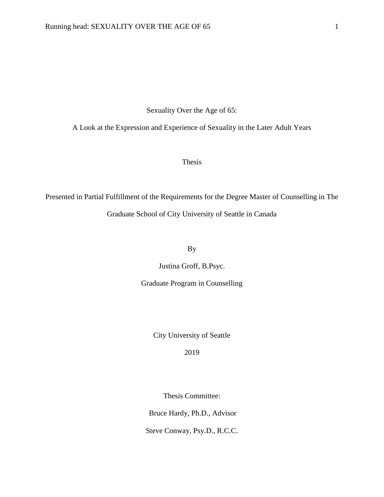Sexuality Over the Age of 65:

A Look at the Expression and Experience of Sexuality in the Later Adult Years

Thesis

Presented in Partial Fulfillment of the Requirements for the Degree Master of Counselling in The Graduate School of City University of Seattle in Canada

By

Justina Groff, B.Psyc.

Graduate Program in Counselling

City University of Seattle

2019

Thesis Committee:

Bruce Hardy, Ph.D., Advisor

Steve Conway, Psy.D., R.C.C.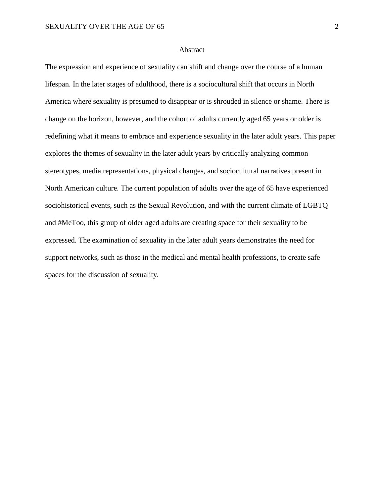## Abstract

The expression and experience of sexuality can shift and change over the course of a human lifespan. In the later stages of adulthood, there is a sociocultural shift that occurs in North America where sexuality is presumed to disappear or is shrouded in silence or shame. There is change on the horizon, however, and the cohort of adults currently aged 65 years or older is redefining what it means to embrace and experience sexuality in the later adult years. This paper explores the themes of sexuality in the later adult years by critically analyzing common stereotypes, media representations, physical changes, and sociocultural narratives present in North American culture. The current population of adults over the age of 65 have experienced sociohistorical events, such as the Sexual Revolution, and with the current climate of LGBTQ and #MeToo, this group of older aged adults are creating space for their sexuality to be expressed. The examination of sexuality in the later adult years demonstrates the need for support networks, such as those in the medical and mental health professions, to create safe spaces for the discussion of sexuality.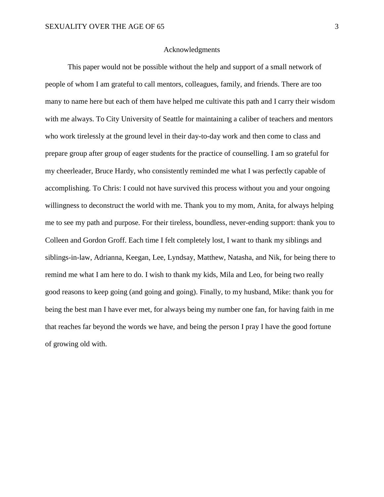# Acknowledgments

This paper would not be possible without the help and support of a small network of people of whom I am grateful to call mentors, colleagues, family, and friends. There are too many to name here but each of them have helped me cultivate this path and I carry their wisdom with me always. To City University of Seattle for maintaining a caliber of teachers and mentors who work tirelessly at the ground level in their day-to-day work and then come to class and prepare group after group of eager students for the practice of counselling. I am so grateful for my cheerleader, Bruce Hardy, who consistently reminded me what I was perfectly capable of accomplishing. To Chris: I could not have survived this process without you and your ongoing willingness to deconstruct the world with me. Thank you to my mom, Anita, for always helping me to see my path and purpose. For their tireless, boundless, never-ending support: thank you to Colleen and Gordon Groff. Each time I felt completely lost, I want to thank my siblings and siblings-in-law, Adrianna, Keegan, Lee, Lyndsay, Matthew, Natasha, and Nik, for being there to remind me what I am here to do. I wish to thank my kids, Mila and Leo, for being two really good reasons to keep going (and going and going). Finally, to my husband, Mike: thank you for being the best man I have ever met, for always being my number one fan, for having faith in me that reaches far beyond the words we have, and being the person I pray I have the good fortune of growing old with.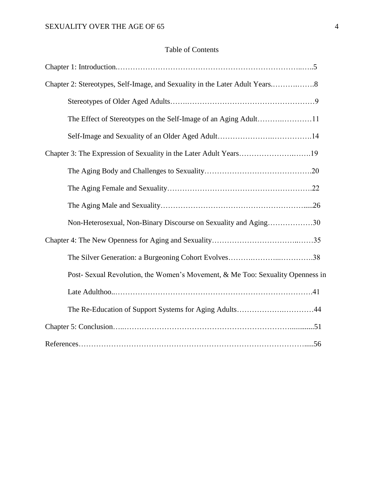# Table of Contents

| Chapter 3: The Expression of Sexuality in the Later Adult Years19              |
|--------------------------------------------------------------------------------|
|                                                                                |
|                                                                                |
|                                                                                |
| Non-Heterosexual, Non-Binary Discourse on Sexuality and Aging30                |
|                                                                                |
|                                                                                |
| Post- Sexual Revolution, the Women's Movement, & Me Too: Sexuality Openness in |
|                                                                                |
| The Re-Education of Support Systems for Aging Adults44                         |
|                                                                                |
|                                                                                |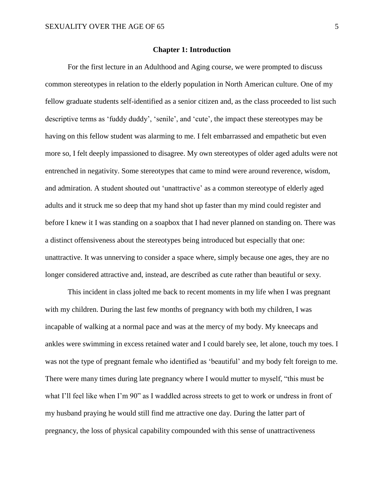#### **Chapter 1: Introduction**

For the first lecture in an Adulthood and Aging course, we were prompted to discuss common stereotypes in relation to the elderly population in North American culture. One of my fellow graduate students self-identified as a senior citizen and, as the class proceeded to list such descriptive terms as 'fuddy duddy', 'senile', and 'cute', the impact these stereotypes may be having on this fellow student was alarming to me. I felt embarrassed and empathetic but even more so, I felt deeply impassioned to disagree. My own stereotypes of older aged adults were not entrenched in negativity. Some stereotypes that came to mind were around reverence, wisdom, and admiration. A student shouted out 'unattractive' as a common stereotype of elderly aged adults and it struck me so deep that my hand shot up faster than my mind could register and before I knew it I was standing on a soapbox that I had never planned on standing on. There was a distinct offensiveness about the stereotypes being introduced but especially that one: unattractive. It was unnerving to consider a space where, simply because one ages, they are no longer considered attractive and, instead, are described as cute rather than beautiful or sexy*.* 

This incident in class jolted me back to recent moments in my life when I was pregnant with my children. During the last few months of pregnancy with both my children, I was incapable of walking at a normal pace and was at the mercy of my body. My kneecaps and ankles were swimming in excess retained water and I could barely see, let alone, touch my toes. I was not the type of pregnant female who identified as 'beautiful' and my body felt foreign to me. There were many times during late pregnancy where I would mutter to myself, "this must be what I'll feel like when I'm 90" as I waddled across streets to get to work or undress in front of my husband praying he would still find me attractive one day. During the latter part of pregnancy, the loss of physical capability compounded with this sense of unattractiveness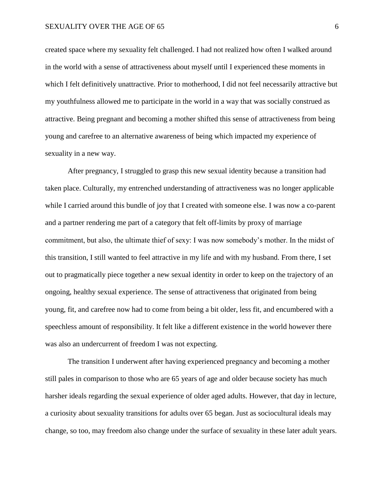created space where my sexuality felt challenged. I had not realized how often I walked around in the world with a sense of attractiveness about myself until I experienced these moments in which I felt definitively unattractive. Prior to motherhood, I did not feel necessarily attractive but my youthfulness allowed me to participate in the world in a way that was socially construed as attractive. Being pregnant and becoming a mother shifted this sense of attractiveness from being young and carefree to an alternative awareness of being which impacted my experience of sexuality in a new way.

After pregnancy, I struggled to grasp this new sexual identity because a transition had taken place. Culturally, my entrenched understanding of attractiveness was no longer applicable while I carried around this bundle of joy that I created with someone else. I was now a co-parent and a partner rendering me part of a category that felt off-limits by proxy of marriage commitment, but also, the ultimate thief of sexy: I was now somebody's mother. In the midst of this transition, I still wanted to feel attractive in my life and with my husband. From there, I set out to pragmatically piece together a new sexual identity in order to keep on the trajectory of an ongoing, healthy sexual experience. The sense of attractiveness that originated from being young, fit, and carefree now had to come from being a bit older, less fit, and encumbered with a speechless amount of responsibility. It felt like a different existence in the world however there was also an undercurrent of freedom I was not expecting.

The transition I underwent after having experienced pregnancy and becoming a mother still pales in comparison to those who are 65 years of age and older because society has much harsher ideals regarding the sexual experience of older aged adults. However, that day in lecture, a curiosity about sexuality transitions for adults over 65 began. Just as sociocultural ideals may change, so too, may freedom also change under the surface of sexuality in these later adult years.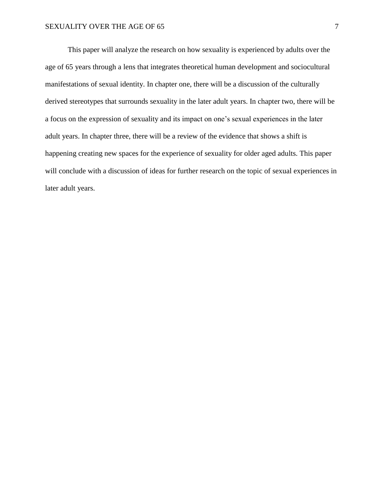This paper will analyze the research on how sexuality is experienced by adults over the age of 65 years through a lens that integrates theoretical human development and sociocultural manifestations of sexual identity. In chapter one, there will be a discussion of the culturally derived stereotypes that surrounds sexuality in the later adult years. In chapter two, there will be a focus on the expression of sexuality and its impact on one's sexual experiences in the later adult years. In chapter three, there will be a review of the evidence that shows a shift is happening creating new spaces for the experience of sexuality for older aged adults. This paper will conclude with a discussion of ideas for further research on the topic of sexual experiences in later adult years.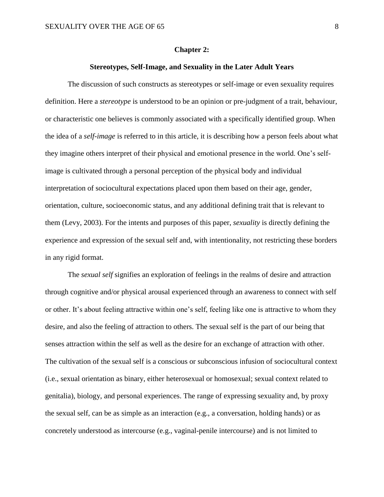#### **Chapter 2:**

# **Stereotypes, Self-Image, and Sexuality in the Later Adult Years**

The discussion of such constructs as stereotypes or self-image or even sexuality requires definition. Here a *stereotype* is understood to be an opinion or pre-judgment of a trait, behaviour, or characteristic one believes is commonly associated with a specifically identified group. When the idea of a *self-image* is referred to in this article, it is describing how a person feels about what they imagine others interpret of their physical and emotional presence in the world. One's selfimage is cultivated through a personal perception of the physical body and individual interpretation of sociocultural expectations placed upon them based on their age, gender, orientation, culture, socioeconomic status, and any additional defining trait that is relevant to them (Levy, 2003). For the intents and purposes of this paper, *sexuality* is directly defining the experience and expression of the sexual self and, with intentionality, not restricting these borders in any rigid format.

The *sexual self* signifies an exploration of feelings in the realms of desire and attraction through cognitive and/or physical arousal experienced through an awareness to connect with self or other. It's about feeling attractive within one's self, feeling like one is attractive to whom they desire, and also the feeling of attraction to others. The sexual self is the part of our being that senses attraction within the self as well as the desire for an exchange of attraction with other. The cultivation of the sexual self is a conscious or subconscious infusion of sociocultural context (i.e., sexual orientation as binary, either heterosexual or homosexual; sexual context related to genitalia), biology, and personal experiences. The range of expressing sexuality and, by proxy the sexual self, can be as simple as an interaction (e.g., a conversation, holding hands) or as concretely understood as intercourse (e.g., vaginal-penile intercourse) and is not limited to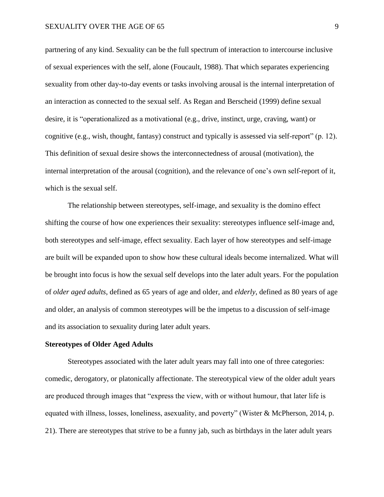partnering of any kind. Sexuality can be the full spectrum of interaction to intercourse inclusive of sexual experiences with the self, alone (Foucault, 1988). That which separates experiencing sexuality from other day-to-day events or tasks involving arousal is the internal interpretation of an interaction as connected to the sexual self. As Regan and Berscheid (1999) define sexual desire, it is "operationalized as a motivational (e.g., drive, instinct, urge, craving, want) or cognitive (e.g., wish, thought, fantasy) construct and typically is assessed via self-report" (p. 12). This definition of sexual desire shows the interconnectedness of arousal (motivation), the internal interpretation of the arousal (cognition), and the relevance of one's own self-report of it, which is the sexual self.

The relationship between stereotypes, self-image, and sexuality is the domino effect shifting the course of how one experiences their sexuality: stereotypes influence self-image and, both stereotypes and self-image, effect sexuality. Each layer of how stereotypes and self-image are built will be expanded upon to show how these cultural ideals become internalized. What will be brought into focus is how the sexual self develops into the later adult years. For the population of *older aged adults*, defined as 65 years of age and older, and *elderly*, defined as 80 years of age and older, an analysis of common stereotypes will be the impetus to a discussion of self-image and its association to sexuality during later adult years.

# **Stereotypes of Older Aged Adults**

Stereotypes associated with the later adult years may fall into one of three categories: comedic, derogatory, or platonically affectionate. The stereotypical view of the older adult years are produced through images that "express the view, with or without humour, that later life is equated with illness, losses, loneliness, asexuality, and poverty" (Wister & McPherson, 2014, p. 21). There are stereotypes that strive to be a funny jab, such as birthdays in the later adult years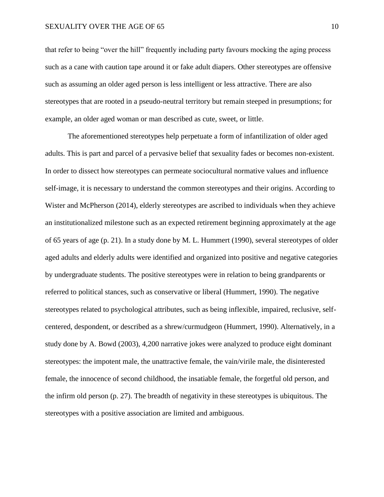that refer to being "over the hill" frequently including party favours mocking the aging process such as a cane with caution tape around it or fake adult diapers. Other stereotypes are offensive such as assuming an older aged person is less intelligent or less attractive. There are also stereotypes that are rooted in a pseudo-neutral territory but remain steeped in presumptions; for example, an older aged woman or man described as cute, sweet, or little.

The aforementioned stereotypes help perpetuate a form of infantilization of older aged adults. This is part and parcel of a pervasive belief that sexuality fades or becomes non-existent. In order to dissect how stereotypes can permeate sociocultural normative values and influence self-image, it is necessary to understand the common stereotypes and their origins. According to Wister and McPherson (2014), elderly stereotypes are ascribed to individuals when they achieve an institutionalized milestone such as an expected retirement beginning approximately at the age of 65 years of age (p. 21). In a study done by M. L. Hummert (1990), several stereotypes of older aged adults and elderly adults were identified and organized into positive and negative categories by undergraduate students. The positive stereotypes were in relation to being grandparents or referred to political stances, such as conservative or liberal (Hummert, 1990). The negative stereotypes related to psychological attributes, such as being inflexible, impaired, reclusive, selfcentered, despondent, or described as a shrew/curmudgeon (Hummert, 1990). Alternatively, in a study done by A. Bowd (2003), 4,200 narrative jokes were analyzed to produce eight dominant stereotypes: the impotent male, the unattractive female, the vain/virile male, the disinterested female, the innocence of second childhood, the insatiable female, the forgetful old person, and the infirm old person (p. 27). The breadth of negativity in these stereotypes is ubiquitous. The stereotypes with a positive association are limited and ambiguous.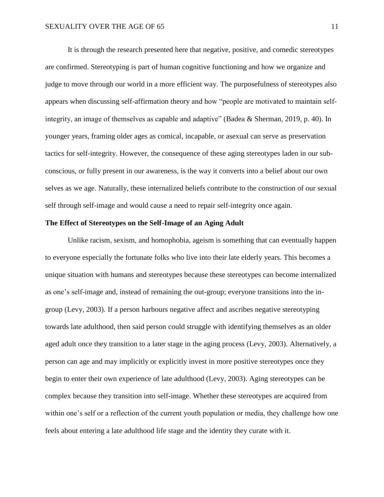It is through the research presented here that negative, positive, and comedic stereotypes are confirmed. Stereotyping is part of human cognitive functioning and how we organize and judge to move through our world in a more efficient way. The purposefulness of stereotypes also appears when discussing self-affirmation theory and how "people are motivated to maintain selfintegrity, an image of themselves as capable and adaptive" (Badea & Sherman, 2019, p. 40). In younger years, framing older ages as comical, incapable, or asexual can serve as preservation tactics for self-integrity. However, the consequence of these aging stereotypes laden in our subconscious, or fully present in our awareness, is the way it converts into a belief about our own selves as we age. Naturally, these internalized beliefs contribute to the construction of our sexual self through self-image and would cause a need to repair self-integrity once again.

# **The Effect of Stereotypes on the Self-Image of an Aging Adult**

Unlike racism, sexism, and homophobia, ageism is something that can eventually happen to everyone especially the fortunate folks who live into their late elderly years. This becomes a unique situation with humans and stereotypes because these stereotypes can become internalized as one's self-image and, instead of remaining the out-group; everyone transitions into the ingroup (Levy, 2003). If a person harbours negative affect and ascribes negative stereotyping towards late adulthood, then said person could struggle with identifying themselves as an older aged adult once they transition to a later stage in the aging process (Levy, 2003). Alternatively, a person can age and may implicitly or explicitly invest in more positive stereotypes once they begin to enter their own experience of late adulthood (Levy, 2003). Aging stereotypes can be complex because they transition into self-image. Whether these stereotypes are acquired from within one's self or a reflection of the current youth population or media, they challenge how one feels about entering a late adulthood life stage and the identity they curate with it.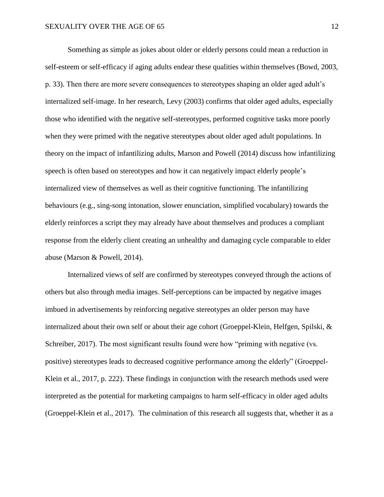Something as simple as jokes about older or elderly persons could mean a reduction in self-esteem or self-efficacy if aging adults endear these qualities within themselves (Bowd, 2003, p. 33). Then there are more severe consequences to stereotypes shaping an older aged adult's internalized self-image. In her research, Levy (2003) confirms that older aged adults, especially those who identified with the negative self-stereotypes, performed cognitive tasks more poorly when they were primed with the negative stereotypes about older aged adult populations. In theory on the impact of infantilizing adults, Marson and Powell (2014) discuss how infantilizing speech is often based on stereotypes and how it can negatively impact elderly people's internalized view of themselves as well as their cognitive functioning. The infantilizing behaviours (e.g., sing-song intonation, slower enunciation, simplified vocabulary) towards the elderly reinforces a script they may already have about themselves and produces a compliant response from the elderly client creating an unhealthy and damaging cycle comparable to elder abuse (Marson & Powell, 2014).

Internalized views of self are confirmed by stereotypes conveyed through the actions of others but also through media images. Self-perceptions can be impacted by negative images imbued in advertisements by reinforcing negative stereotypes an older person may have internalized about their own self or about their age cohort (Groeppel-Klein, Helfgen, Spilski, & Schreiber, 2017). The most significant results found were how "priming with negative (vs. positive) stereotypes leads to decreased cognitive performance among the elderly" (Groeppel-Klein et al., 2017, p. 222). These findings in conjunction with the research methods used were interpreted as the potential for marketing campaigns to harm self-efficacy in older aged adults (Groeppel-Klein et al., 2017). The culmination of this research all suggests that, whether it as a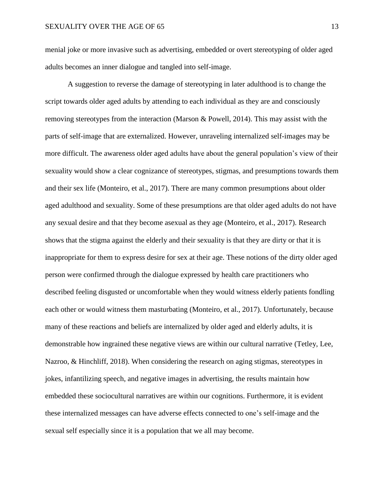menial joke or more invasive such as advertising, embedded or overt stereotyping of older aged adults becomes an inner dialogue and tangled into self-image.

A suggestion to reverse the damage of stereotyping in later adulthood is to change the script towards older aged adults by attending to each individual as they are and consciously removing stereotypes from the interaction (Marson & Powell, 2014). This may assist with the parts of self-image that are externalized. However, unraveling internalized self-images may be more difficult. The awareness older aged adults have about the general population's view of their sexuality would show a clear cognizance of stereotypes, stigmas, and presumptions towards them and their sex life (Monteiro, et al., 2017). There are many common presumptions about older aged adulthood and sexuality. Some of these presumptions are that older aged adults do not have any sexual desire and that they become asexual as they age (Monteiro, et al., 2017). Research shows that the stigma against the elderly and their sexuality is that they are dirty or that it is inappropriate for them to express desire for sex at their age. These notions of the dirty older aged person were confirmed through the dialogue expressed by health care practitioners who described feeling disgusted or uncomfortable when they would witness elderly patients fondling each other or would witness them masturbating (Monteiro, et al., 2017). Unfortunately, because many of these reactions and beliefs are internalized by older aged and elderly adults, it is demonstrable how ingrained these negative views are within our cultural narrative (Tetley, Lee, Nazroo, & Hinchliff, 2018). When considering the research on aging stigmas, stereotypes in jokes, infantilizing speech, and negative images in advertising, the results maintain how embedded these sociocultural narratives are within our cognitions. Furthermore, it is evident these internalized messages can have adverse effects connected to one's self-image and the sexual self especially since it is a population that we all may become.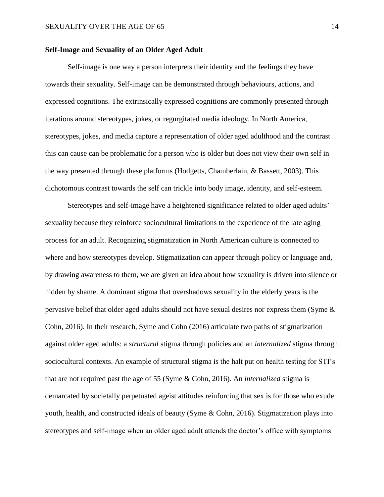# **Self-Image and Sexuality of an Older Aged Adult**

Self-image is one way a person interprets their identity and the feelings they have towards their sexuality. Self-image can be demonstrated through behaviours, actions, and expressed cognitions. The extrinsically expressed cognitions are commonly presented through iterations around stereotypes, jokes, or regurgitated media ideology. In North America, stereotypes, jokes, and media capture a representation of older aged adulthood and the contrast this can cause can be problematic for a person who is older but does not view their own self in the way presented through these platforms (Hodgetts, Chamberlain, & Bassett, 2003). This dichotomous contrast towards the self can trickle into body image, identity, and self-esteem.

Stereotypes and self-image have a heightened significance related to older aged adults' sexuality because they reinforce sociocultural limitations to the experience of the late aging process for an adult. Recognizing stigmatization in North American culture is connected to where and how stereotypes develop. Stigmatization can appear through policy or language and, by drawing awareness to them, we are given an idea about how sexuality is driven into silence or hidden by shame. A dominant stigma that overshadows sexuality in the elderly years is the pervasive belief that older aged adults should not have sexual desires nor express them (Syme & Cohn, 2016). In their research, Syme and Cohn (2016) articulate two paths of stigmatization against older aged adults: a *structural* stigma through policies and an *internalized* stigma through sociocultural contexts. An example of structural stigma is the halt put on health testing for STI's that are not required past the age of 55 (Syme & Cohn, 2016). An *internalized* stigma is demarcated by societally perpetuated ageist attitudes reinforcing that sex is for those who exude youth, health, and constructed ideals of beauty (Syme  $\&$  Cohn, 2016). Stigmatization plays into stereotypes and self-image when an older aged adult attends the doctor's office with symptoms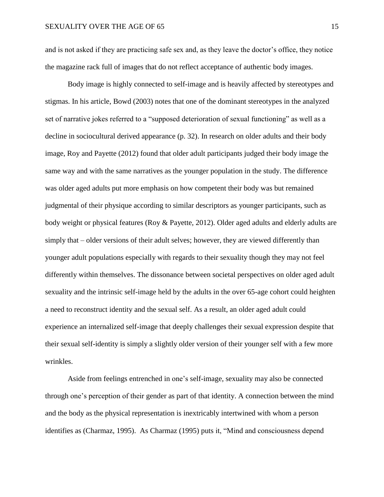and is not asked if they are practicing safe sex and, as they leave the doctor's office, they notice the magazine rack full of images that do not reflect acceptance of authentic body images.

Body image is highly connected to self-image and is heavily affected by stereotypes and stigmas. In his article, Bowd (2003) notes that one of the dominant stereotypes in the analyzed set of narrative jokes referred to a "supposed deterioration of sexual functioning" as well as a decline in sociocultural derived appearance (p. 32). In research on older adults and their body image, Roy and Payette (2012) found that older adult participants judged their body image the same way and with the same narratives as the younger population in the study. The difference was older aged adults put more emphasis on how competent their body was but remained judgmental of their physique according to similar descriptors as younger participants, such as body weight or physical features (Roy & Payette, 2012). Older aged adults and elderly adults are simply that – older versions of their adult selves; however, they are viewed differently than younger adult populations especially with regards to their sexuality though they may not feel differently within themselves. The dissonance between societal perspectives on older aged adult sexuality and the intrinsic self-image held by the adults in the over 65-age cohort could heighten a need to reconstruct identity and the sexual self. As a result, an older aged adult could experience an internalized self-image that deeply challenges their sexual expression despite that their sexual self-identity is simply a slightly older version of their younger self with a few more wrinkles.

Aside from feelings entrenched in one's self-image, sexuality may also be connected through one's perception of their gender as part of that identity. A connection between the mind and the body as the physical representation is inextricably intertwined with whom a person identifies as (Charmaz, 1995). As Charmaz (1995) puts it, "Mind and consciousness depend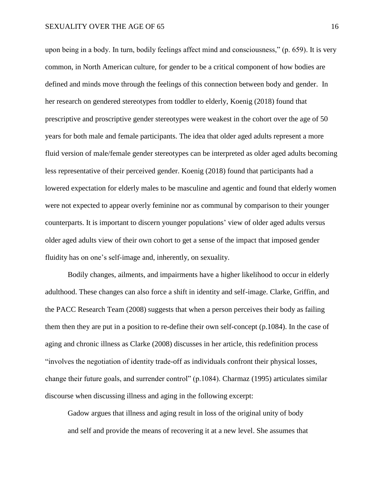upon being in a body. In turn, bodily feelings affect mind and consciousness," (p. 659). It is very common, in North American culture, for gender to be a critical component of how bodies are defined and minds move through the feelings of this connection between body and gender. In her research on gendered stereotypes from toddler to elderly, Koenig (2018) found that prescriptive and proscriptive gender stereotypes were weakest in the cohort over the age of 50 years for both male and female participants. The idea that older aged adults represent a more fluid version of male/female gender stereotypes can be interpreted as older aged adults becoming less representative of their perceived gender. Koenig (2018) found that participants had a lowered expectation for elderly males to be masculine and agentic and found that elderly women were not expected to appear overly feminine nor as communal by comparison to their younger counterparts. It is important to discern younger populations' view of older aged adults versus older aged adults view of their own cohort to get a sense of the impact that imposed gender fluidity has on one's self-image and, inherently, on sexuality.

Bodily changes, ailments, and impairments have a higher likelihood to occur in elderly adulthood. These changes can also force a shift in identity and self-image. Clarke, Griffin, and the PACC Research Team (2008) suggests that when a person perceives their body as failing them then they are put in a position to re-define their own self-concept (p.1084). In the case of aging and chronic illness as Clarke (2008) discusses in her article, this redefinition process "involves the negotiation of identity trade-off as individuals confront their physical losses, change their future goals, and surrender control" (p.1084). Charmaz (1995) articulates similar discourse when discussing illness and aging in the following excerpt:

Gadow argues that illness and aging result in loss of the original unity of body and self and provide the means of recovering it at a new level. She assumes that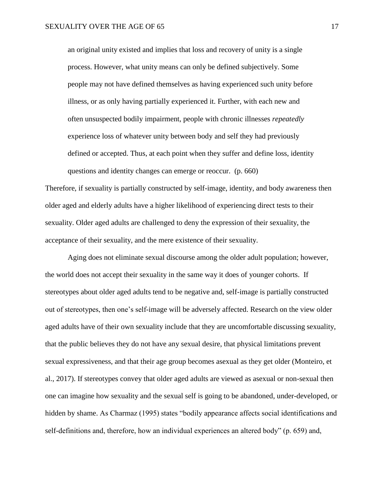an original unity existed and implies that loss and recovery of unity is a single process. However, what unity means can only be defined subjectively. Some people may not have defined themselves as having experienced such unity before illness, or as only having partially experienced it. Further, with each new and often unsuspected bodily impairment, people with chronic illnesses *repeatedly* experience loss of whatever unity between body and self they had previously defined or accepted. Thus, at each point when they suffer and define loss, identity questions and identity changes can emerge or reoccur. (p. 660)

Therefore, if sexuality is partially constructed by self-image, identity, and body awareness then older aged and elderly adults have a higher likelihood of experiencing direct tests to their sexuality. Older aged adults are challenged to deny the expression of their sexuality, the acceptance of their sexuality, and the mere existence of their sexuality.

Aging does not eliminate sexual discourse among the older adult population; however, the world does not accept their sexuality in the same way it does of younger cohorts. If stereotypes about older aged adults tend to be negative and, self-image is partially constructed out of stereotypes, then one's self-image will be adversely affected. Research on the view older aged adults have of their own sexuality include that they are uncomfortable discussing sexuality, that the public believes they do not have any sexual desire, that physical limitations prevent sexual expressiveness, and that their age group becomes asexual as they get older (Monteiro, et al., 2017). If stereotypes convey that older aged adults are viewed as asexual or non-sexual then one can imagine how sexuality and the sexual self is going to be abandoned, under-developed, or hidden by shame. As Charmaz (1995) states "bodily appearance affects social identifications and self-definitions and, therefore, how an individual experiences an altered body" (p. 659) and,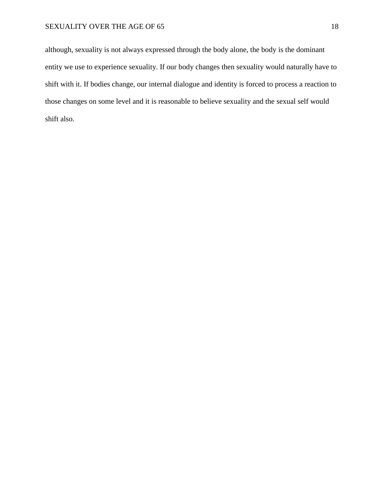although, sexuality is not always expressed through the body alone, the body is the dominant entity we use to experience sexuality. If our body changes then sexuality would naturally have to shift with it. If bodies change, our internal dialogue and identity is forced to process a reaction to those changes on some level and it is reasonable to believe sexuality and the sexual self would shift also.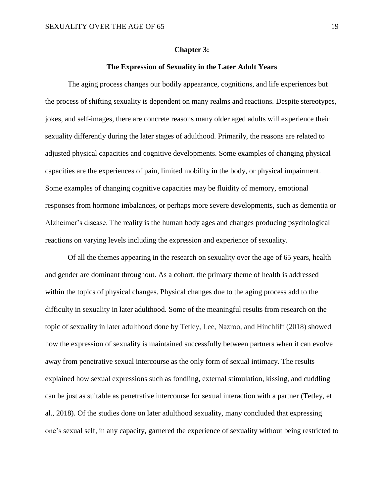#### **Chapter 3:**

# **The Expression of Sexuality in the Later Adult Years**

The aging process changes our bodily appearance, cognitions, and life experiences but the process of shifting sexuality is dependent on many realms and reactions. Despite stereotypes, jokes, and self-images, there are concrete reasons many older aged adults will experience their sexuality differently during the later stages of adulthood. Primarily, the reasons are related to adjusted physical capacities and cognitive developments. Some examples of changing physical capacities are the experiences of pain, limited mobility in the body, or physical impairment. Some examples of changing cognitive capacities may be fluidity of memory, emotional responses from hormone imbalances, or perhaps more severe developments, such as dementia or Alzheimer's disease. The reality is the human body ages and changes producing psychological reactions on varying levels including the expression and experience of sexuality.

Of all the themes appearing in the research on sexuality over the age of 65 years, health and gender are dominant throughout. As a cohort, the primary theme of health is addressed within the topics of physical changes. Physical changes due to the aging process add to the difficulty in sexuality in later adulthood. Some of the meaningful results from research on the topic of sexuality in later adulthood done by Tetley, Lee, Nazroo, and Hinchliff (2018) showed how the expression of sexuality is maintained successfully between partners when it can evolve away from penetrative sexual intercourse as the only form of sexual intimacy. The results explained how sexual expressions such as fondling, external stimulation, kissing, and cuddling can be just as suitable as penetrative intercourse for sexual interaction with a partner (Tetley, et al., 2018). Of the studies done on later adulthood sexuality, many concluded that expressing one's sexual self, in any capacity, garnered the experience of sexuality without being restricted to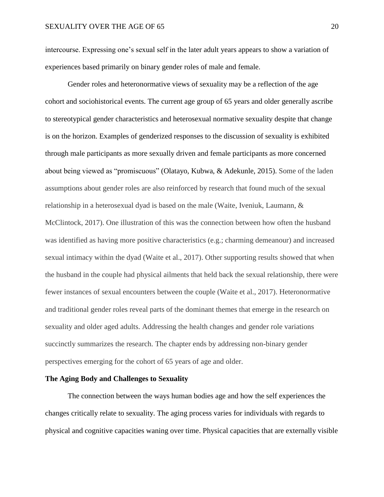intercourse. Expressing one's sexual self in the later adult years appears to show a variation of experiences based primarily on binary gender roles of male and female.

Gender roles and heteronormative views of sexuality may be a reflection of the age cohort and sociohistorical events. The current age group of 65 years and older generally ascribe to stereotypical gender characteristics and heterosexual normative sexuality despite that change is on the horizon. Examples of genderized responses to the discussion of sexuality is exhibited through male participants as more sexually driven and female participants as more concerned about being viewed as "promiscuous" (Olatayo, Kubwa, & Adekunle, 2015). Some of the laden assumptions about gender roles are also reinforced by research that found much of the sexual relationship in a heterosexual dyad is based on the male (Waite, Iveniuk, Laumann, & McClintock, 2017). One illustration of this was the connection between how often the husband was identified as having more positive characteristics (e.g.; charming demeanour) and increased sexual intimacy within the dyad (Waite et al., 2017). Other supporting results showed that when the husband in the couple had physical ailments that held back the sexual relationship, there were fewer instances of sexual encounters between the couple (Waite et al., 2017). Heteronormative and traditional gender roles reveal parts of the dominant themes that emerge in the research on sexuality and older aged adults. Addressing the health changes and gender role variations succinctly summarizes the research. The chapter ends by addressing non-binary gender perspectives emerging for the cohort of 65 years of age and older.

# **The Aging Body and Challenges to Sexuality**

The connection between the ways human bodies age and how the self experiences the changes critically relate to sexuality. The aging process varies for individuals with regards to physical and cognitive capacities waning over time. Physical capacities that are externally visible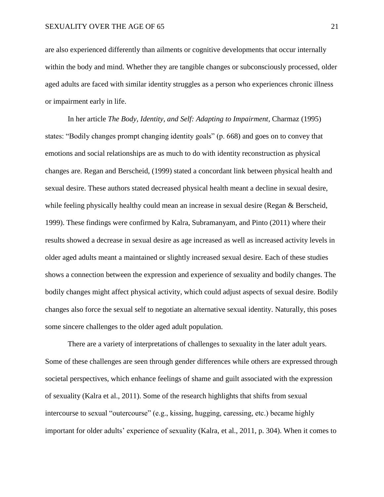are also experienced differently than ailments or cognitive developments that occur internally within the body and mind. Whether they are tangible changes or subconsciously processed, older aged adults are faced with similar identity struggles as a person who experiences chronic illness or impairment early in life.

In her article *The Body, Identity, and Self: Adapting to Impairment,* Charmaz (1995) states: "Bodily changes prompt changing identity goals" (p. 668) and goes on to convey that emotions and social relationships are as much to do with identity reconstruction as physical changes are. Regan and Berscheid, (1999) stated a concordant link between physical health and sexual desire. These authors stated decreased physical health meant a decline in sexual desire, while feeling physically healthy could mean an increase in sexual desire (Regan & Berscheid, 1999). These findings were confirmed by Kalra, Subramanyam, and Pinto (2011) where their results showed a decrease in sexual desire as age increased as well as increased activity levels in older aged adults meant a maintained or slightly increased sexual desire. Each of these studies shows a connection between the expression and experience of sexuality and bodily changes. The bodily changes might affect physical activity, which could adjust aspects of sexual desire. Bodily changes also force the sexual self to negotiate an alternative sexual identity. Naturally, this poses some sincere challenges to the older aged adult population.

There are a variety of interpretations of challenges to sexuality in the later adult years. Some of these challenges are seen through gender differences while others are expressed through societal perspectives, which enhance feelings of shame and guilt associated with the expression of sexuality (Kalra et al., 2011). Some of the research highlights that shifts from sexual intercourse to sexual "outercourse" (e.g., kissing, hugging, caressing, etc.) became highly important for older adults' experience of sexuality (Kalra, et al., 2011, p. 304). When it comes to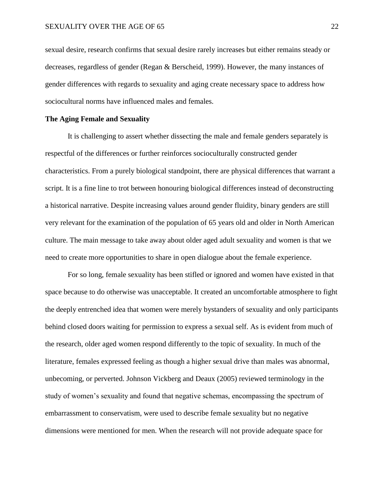sexual desire, research confirms that sexual desire rarely increases but either remains steady or decreases, regardless of gender (Regan & Berscheid, 1999). However, the many instances of gender differences with regards to sexuality and aging create necessary space to address how sociocultural norms have influenced males and females.

# **The Aging Female and Sexuality**

It is challenging to assert whether dissecting the male and female genders separately is respectful of the differences or further reinforces socioculturally constructed gender characteristics. From a purely biological standpoint, there are physical differences that warrant a script. It is a fine line to trot between honouring biological differences instead of deconstructing a historical narrative. Despite increasing values around gender fluidity, binary genders are still very relevant for the examination of the population of 65 years old and older in North American culture. The main message to take away about older aged adult sexuality and women is that we need to create more opportunities to share in open dialogue about the female experience.

For so long, female sexuality has been stifled or ignored and women have existed in that space because to do otherwise was unacceptable. It created an uncomfortable atmosphere to fight the deeply entrenched idea that women were merely bystanders of sexuality and only participants behind closed doors waiting for permission to express a sexual self. As is evident from much of the research, older aged women respond differently to the topic of sexuality. In much of the literature, females expressed feeling as though a higher sexual drive than males was abnormal, unbecoming, or perverted. Johnson Vickberg and Deaux (2005) reviewed terminology in the study of women's sexuality and found that negative schemas, encompassing the spectrum of embarrassment to conservatism, were used to describe female sexuality but no negative dimensions were mentioned for men. When the research will not provide adequate space for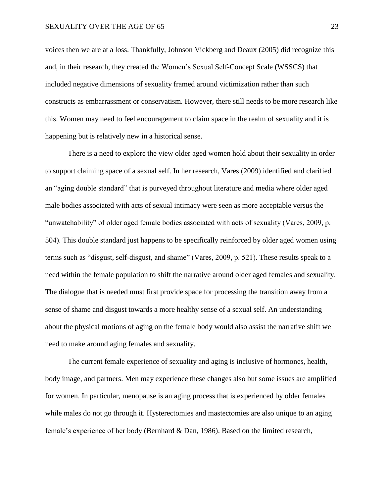voices then we are at a loss. Thankfully, Johnson Vickberg and Deaux (2005) did recognize this and, in their research, they created the Women's Sexual Self-Concept Scale (WSSCS) that included negative dimensions of sexuality framed around victimization rather than such constructs as embarrassment or conservatism. However, there still needs to be more research like this. Women may need to feel encouragement to claim space in the realm of sexuality and it is happening but is relatively new in a historical sense.

There is a need to explore the view older aged women hold about their sexuality in order to support claiming space of a sexual self. In her research, Vares (2009) identified and clarified an "aging double standard" that is purveyed throughout literature and media where older aged male bodies associated with acts of sexual intimacy were seen as more acceptable versus the "unwatchability" of older aged female bodies associated with acts of sexuality (Vares, 2009, p. 504). This double standard just happens to be specifically reinforced by older aged women using terms such as "disgust, self-disgust, and shame" (Vares, 2009, p. 521). These results speak to a need within the female population to shift the narrative around older aged females and sexuality. The dialogue that is needed must first provide space for processing the transition away from a sense of shame and disgust towards a more healthy sense of a sexual self. An understanding about the physical motions of aging on the female body would also assist the narrative shift we need to make around aging females and sexuality.

The current female experience of sexuality and aging is inclusive of hormones, health, body image, and partners. Men may experience these changes also but some issues are amplified for women. In particular, menopause is an aging process that is experienced by older females while males do not go through it. Hysterectomies and mastectomies are also unique to an aging female's experience of her body (Bernhard & Dan, 1986). Based on the limited research,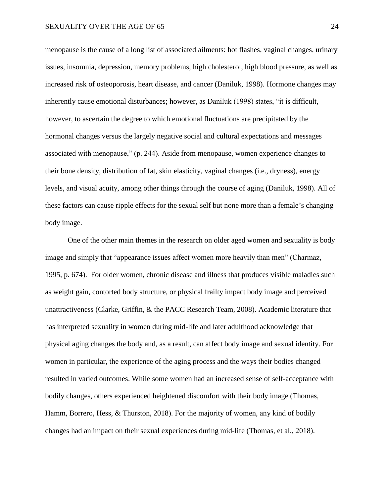menopause is the cause of a long list of associated ailments: hot flashes, vaginal changes, urinary issues, insomnia, depression, memory problems, high cholesterol, high blood pressure, as well as increased risk of osteoporosis, heart disease, and cancer (Daniluk, 1998). Hormone changes may inherently cause emotional disturbances; however, as Daniluk (1998) states, "it is difficult, however, to ascertain the degree to which emotional fluctuations are precipitated by the hormonal changes versus the largely negative social and cultural expectations and messages associated with menopause," (p. 244). Aside from menopause, women experience changes to their bone density, distribution of fat, skin elasticity, vaginal changes (i.e., dryness), energy levels, and visual acuity, among other things through the course of aging (Daniluk, 1998). All of these factors can cause ripple effects for the sexual self but none more than a female's changing body image.

One of the other main themes in the research on older aged women and sexuality is body image and simply that "appearance issues affect women more heavily than men" (Charmaz, 1995, p. 674). For older women, chronic disease and illness that produces visible maladies such as weight gain, contorted body structure, or physical frailty impact body image and perceived unattractiveness (Clarke, Griffin, & the PACC Research Team, 2008). Academic literature that has interpreted sexuality in women during mid-life and later adulthood acknowledge that physical aging changes the body and, as a result, can affect body image and sexual identity. For women in particular, the experience of the aging process and the ways their bodies changed resulted in varied outcomes. While some women had an increased sense of self-acceptance with bodily changes, others experienced heightened discomfort with their body image (Thomas, Hamm, Borrero, Hess, & Thurston, 2018). For the majority of women, any kind of bodily changes had an impact on their sexual experiences during mid-life (Thomas, et al., 2018).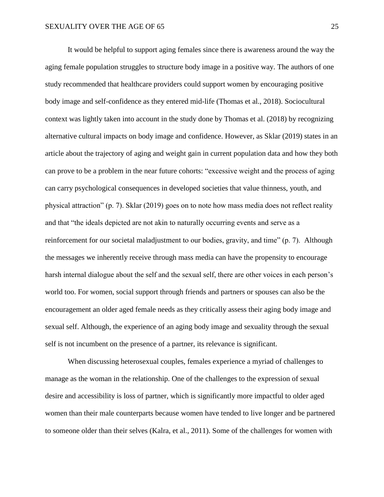It would be helpful to support aging females since there is awareness around the way the aging female population struggles to structure body image in a positive way. The authors of one study recommended that healthcare providers could support women by encouraging positive body image and self-confidence as they entered mid-life (Thomas et al., 2018). Sociocultural context was lightly taken into account in the study done by Thomas et al. (2018) by recognizing alternative cultural impacts on body image and confidence. However, as Sklar (2019) states in an article about the trajectory of aging and weight gain in current population data and how they both can prove to be a problem in the near future cohorts: "excessive weight and the process of aging can carry psychological consequences in developed societies that value thinness, youth, and physical attraction" (p. 7). Sklar (2019) goes on to note how mass media does not reflect reality and that "the ideals depicted are not akin to naturally occurring events and serve as a reinforcement for our societal maladjustment to our bodies, gravity, and time" (p. 7). Although the messages we inherently receive through mass media can have the propensity to encourage harsh internal dialogue about the self and the sexual self, there are other voices in each person's world too. For women, social support through friends and partners or spouses can also be the encouragement an older aged female needs as they critically assess their aging body image and sexual self. Although, the experience of an aging body image and sexuality through the sexual self is not incumbent on the presence of a partner, its relevance is significant.

When discussing heterosexual couples, females experience a myriad of challenges to manage as the woman in the relationship. One of the challenges to the expression of sexual desire and accessibility is loss of partner, which is significantly more impactful to older aged women than their male counterparts because women have tended to live longer and be partnered to someone older than their selves (Kalra, et al., 2011). Some of the challenges for women with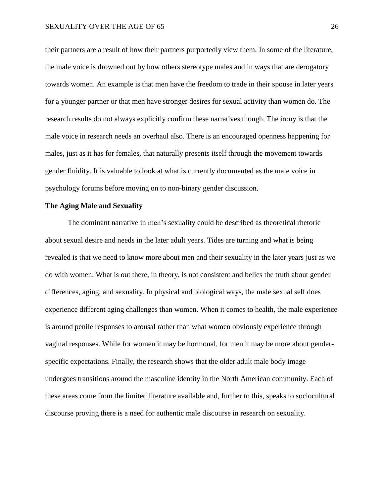their partners are a result of how their partners purportedly view them. In some of the literature, the male voice is drowned out by how others stereotype males and in ways that are derogatory towards women. An example is that men have the freedom to trade in their spouse in later years for a younger partner or that men have stronger desires for sexual activity than women do. The research results do not always explicitly confirm these narratives though. The irony is that the male voice in research needs an overhaul also. There is an encouraged openness happening for males, just as it has for females, that naturally presents itself through the movement towards gender fluidity. It is valuable to look at what is currently documented as the male voice in psychology forums before moving on to non-binary gender discussion.

# **The Aging Male and Sexuality**

The dominant narrative in men's sexuality could be described as theoretical rhetoric about sexual desire and needs in the later adult years. Tides are turning and what is being revealed is that we need to know more about men and their sexuality in the later years just as we do with women. What is out there, in theory, is not consistent and belies the truth about gender differences, aging, and sexuality. In physical and biological ways, the male sexual self does experience different aging challenges than women. When it comes to health, the male experience is around penile responses to arousal rather than what women obviously experience through vaginal responses. While for women it may be hormonal, for men it may be more about genderspecific expectations. Finally, the research shows that the older adult male body image undergoes transitions around the masculine identity in the North American community. Each of these areas come from the limited literature available and, further to this, speaks to sociocultural discourse proving there is a need for authentic male discourse in research on sexuality.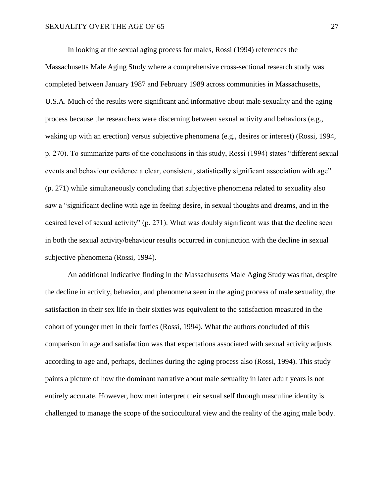In looking at the sexual aging process for males, Rossi (1994) references the Massachusetts Male Aging Study where a comprehensive cross-sectional research study was completed between January 1987 and February 1989 across communities in Massachusetts, U.S.A. Much of the results were significant and informative about male sexuality and the aging process because the researchers were discerning between sexual activity and behaviors (e.g., waking up with an erection) versus subjective phenomena (e.g., desires or interest) (Rossi, 1994, p. 270). To summarize parts of the conclusions in this study, Rossi (1994) states "different sexual events and behaviour evidence a clear, consistent, statistically significant association with age" (p. 271) while simultaneously concluding that subjective phenomena related to sexuality also saw a "significant decline with age in feeling desire, in sexual thoughts and dreams, and in the desired level of sexual activity" (p. 271). What was doubly significant was that the decline seen in both the sexual activity/behaviour results occurred in conjunction with the decline in sexual subjective phenomena (Rossi, 1994).

An additional indicative finding in the Massachusetts Male Aging Study was that, despite the decline in activity, behavior, and phenomena seen in the aging process of male sexuality, the satisfaction in their sex life in their sixties was equivalent to the satisfaction measured in the cohort of younger men in their forties (Rossi, 1994). What the authors concluded of this comparison in age and satisfaction was that expectations associated with sexual activity adjusts according to age and, perhaps, declines during the aging process also (Rossi, 1994). This study paints a picture of how the dominant narrative about male sexuality in later adult years is not entirely accurate. However, how men interpret their sexual self through masculine identity is challenged to manage the scope of the sociocultural view and the reality of the aging male body.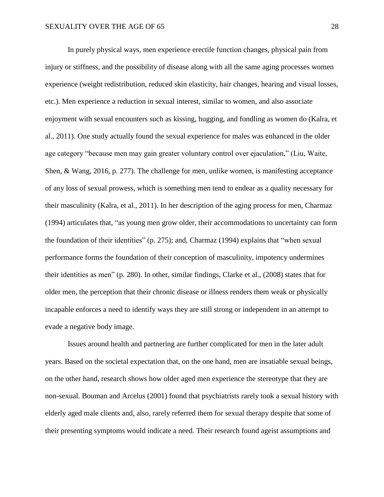In purely physical ways, men experience erectile function changes, physical pain from injury or stiffness, and the possibility of disease along with all the same aging processes women experience (weight redistribution, reduced skin elasticity, hair changes, hearing and visual losses, etc.). Men experience a reduction in sexual interest, similar to women, and also associate enjoyment with sexual encounters such as kissing, hugging, and fondling as women do (Kalra, et al., 2011). One study actually found the sexual experience for males was enhanced in the older age category "because men may gain greater voluntary control over ejaculation," (Liu, Waite, Shen, & Wang, 2016, p. 277). The challenge for men, unlike women, is manifesting acceptance of any loss of sexual prowess, which is something men tend to endear as a quality necessary for their masculinity (Kalra, et al., 2011). In her description of the aging process for men, Charmaz (1994) articulates that, "as young men grow older, their accommodations to uncertainty can form the foundation of their identities" (p. 275); and, Charmaz (1994) explains that "when sexual performance forms the foundation of their conception of masculinity, impotency undermines their identities as men" (p. 280). In other, similar findings, Clarke et al., (2008) states that for older men, the perception that their chronic disease or illness renders them weak or physically incapable enforces a need to identify ways they are still strong or independent in an attempt to evade a negative body image.

Issues around health and partnering are further complicated for men in the later adult years. Based on the societal expectation that, on the one hand, men are insatiable sexual beings, on the other hand, research shows how older aged men experience the stereotype that they are non-sexual. Bouman and Arcelus (2001) found that psychiatrists rarely took a sexual history with elderly aged male clients and, also, rarely referred them for sexual therapy despite that some of their presenting symptoms would indicate a need. Their research found ageist assumptions and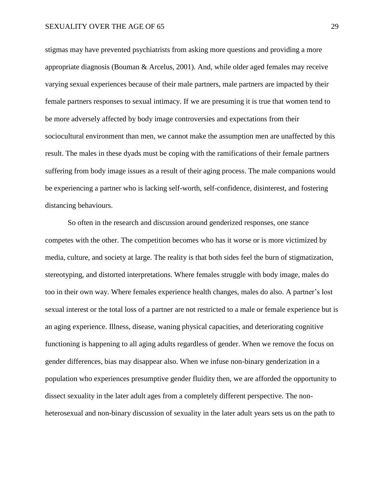stigmas may have prevented psychiatrists from asking more questions and providing a more appropriate diagnosis (Bouman & Arcelus, 2001). And, while older aged females may receive varying sexual experiences because of their male partners, male partners are impacted by their female partners responses to sexual intimacy. If we are presuming it is true that women tend to be more adversely affected by body image controversies and expectations from their sociocultural environment than men, we cannot make the assumption men are unaffected by this result. The males in these dyads must be coping with the ramifications of their female partners suffering from body image issues as a result of their aging process. The male companions would be experiencing a partner who is lacking self-worth, self-confidence, disinterest, and fostering distancing behaviours.

So often in the research and discussion around genderized responses, one stance competes with the other. The competition becomes who has it worse or is more victimized by media, culture, and society at large. The reality is that both sides feel the burn of stigmatization, stereotyping, and distorted interpretations. Where females struggle with body image, males do too in their own way. Where females experience health changes, males do also. A partner's lost sexual interest or the total loss of a partner are not restricted to a male or female experience but is an aging experience. Illness, disease, waning physical capacities, and deteriorating cognitive functioning is happening to all aging adults regardless of gender. When we remove the focus on gender differences, bias may disappear also. When we infuse non-binary genderization in a population who experiences presumptive gender fluidity then, we are afforded the opportunity to dissect sexuality in the later adult ages from a completely different perspective. The nonheterosexual and non-binary discussion of sexuality in the later adult years sets us on the path to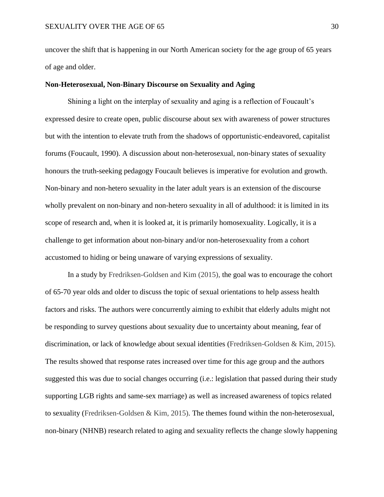uncover the shift that is happening in our North American society for the age group of 65 years of age and older.

# **Non-Heterosexual, Non-Binary Discourse on Sexuality and Aging**

Shining a light on the interplay of sexuality and aging is a reflection of Foucault's expressed desire to create open, public discourse about sex with awareness of power structures but with the intention to elevate truth from the shadows of opportunistic-endeavored, capitalist forums (Foucault, 1990). A discussion about non-heterosexual, non-binary states of sexuality honours the truth-seeking pedagogy Foucault believes is imperative for evolution and growth. Non-binary and non-hetero sexuality in the later adult years is an extension of the discourse wholly prevalent on non-binary and non-hetero sexuality in all of adulthood: it is limited in its scope of research and, when it is looked at, it is primarily homosexuality. Logically, it is a challenge to get information about non-binary and/or non-heterosexuality from a cohort accustomed to hiding or being unaware of varying expressions of sexuality.

In a study by Fredriksen-Goldsen and Kim (2015), the goal was to encourage the cohort of 65-70 year olds and older to discuss the topic of sexual orientations to help assess health factors and risks. The authors were concurrently aiming to exhibit that elderly adults might not be responding to survey questions about sexuality due to uncertainty about meaning, fear of discrimination, or lack of knowledge about sexual identities (Fredriksen-Goldsen & Kim, 2015). The results showed that response rates increased over time for this age group and the authors suggested this was due to social changes occurring (i.e.: legislation that passed during their study supporting LGB rights and same-sex marriage) as well as increased awareness of topics related to sexuality (Fredriksen-Goldsen & Kim, 2015). The themes found within the non-heterosexual, non-binary (NHNB) research related to aging and sexuality reflects the change slowly happening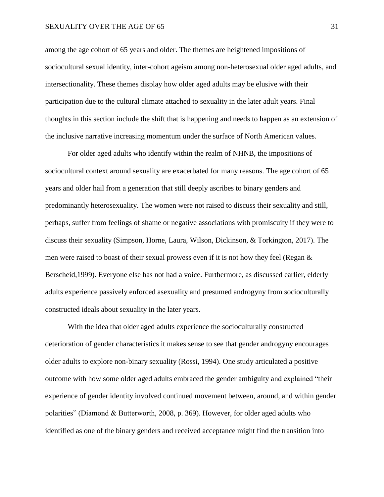among the age cohort of 65 years and older. The themes are heightened impositions of sociocultural sexual identity, inter-cohort ageism among non-heterosexual older aged adults, and intersectionality. These themes display how older aged adults may be elusive with their participation due to the cultural climate attached to sexuality in the later adult years. Final thoughts in this section include the shift that is happening and needs to happen as an extension of the inclusive narrative increasing momentum under the surface of North American values.

For older aged adults who identify within the realm of NHNB, the impositions of sociocultural context around sexuality are exacerbated for many reasons. The age cohort of 65 years and older hail from a generation that still deeply ascribes to binary genders and predominantly heterosexuality. The women were not raised to discuss their sexuality and still, perhaps, suffer from feelings of shame or negative associations with promiscuity if they were to discuss their sexuality (Simpson, Horne, Laura, Wilson, Dickinson, & Torkington, 2017). The men were raised to boast of their sexual prowess even if it is not how they feel (Regan & Berscheid,1999). Everyone else has not had a voice. Furthermore, as discussed earlier, elderly adults experience passively enforced asexuality and presumed androgyny from socioculturally constructed ideals about sexuality in the later years.

With the idea that older aged adults experience the socioculturally constructed deterioration of gender characteristics it makes sense to see that gender androgyny encourages older adults to explore non-binary sexuality (Rossi, 1994). One study articulated a positive outcome with how some older aged adults embraced the gender ambiguity and explained "their experience of gender identity involved continued movement between, around, and within gender polarities" (Diamond & Butterworth, 2008, p. 369). However, for older aged adults who identified as one of the binary genders and received acceptance might find the transition into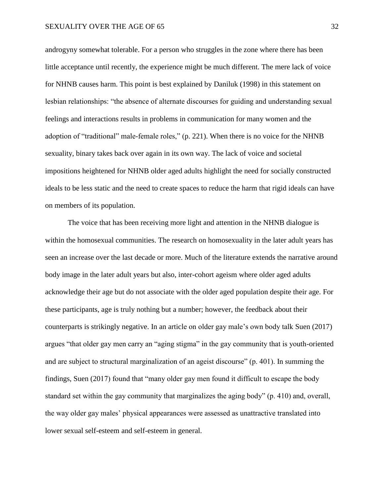androgyny somewhat tolerable. For a person who struggles in the zone where there has been little acceptance until recently, the experience might be much different. The mere lack of voice for NHNB causes harm. This point is best explained by Daniluk (1998) in this statement on lesbian relationships: "the absence of alternate discourses for guiding and understanding sexual feelings and interactions results in problems in communication for many women and the adoption of "traditional" male-female roles," (p. 221). When there is no voice for the NHNB sexuality, binary takes back over again in its own way. The lack of voice and societal impositions heightened for NHNB older aged adults highlight the need for socially constructed ideals to be less static and the need to create spaces to reduce the harm that rigid ideals can have on members of its population.

The voice that has been receiving more light and attention in the NHNB dialogue is within the homosexual communities. The research on homosexuality in the later adult years has seen an increase over the last decade or more. Much of the literature extends the narrative around body image in the later adult years but also, inter-cohort ageism where older aged adults acknowledge their age but do not associate with the older aged population despite their age. For these participants, age is truly nothing but a number; however, the feedback about their counterparts is strikingly negative. In an article on older gay male's own body talk Suen (2017) argues "that older gay men carry an "aging stigma" in the gay community that is youth-oriented and are subject to structural marginalization of an ageist discourse" (p. 401). In summing the findings, Suen (2017) found that "many older gay men found it difficult to escape the body standard set within the gay community that marginalizes the aging body" (p. 410) and, overall, the way older gay males' physical appearances were assessed as unattractive translated into lower sexual self-esteem and self-esteem in general.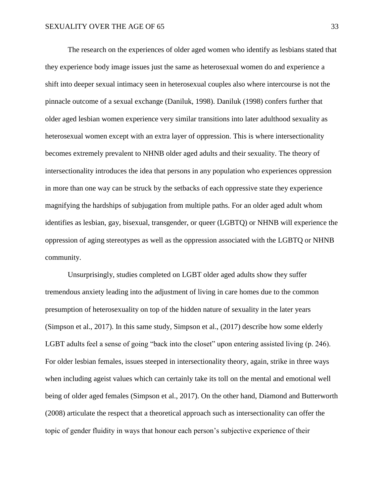The research on the experiences of older aged women who identify as lesbians stated that they experience body image issues just the same as heterosexual women do and experience a shift into deeper sexual intimacy seen in heterosexual couples also where intercourse is not the pinnacle outcome of a sexual exchange (Daniluk, 1998). Daniluk (1998) confers further that older aged lesbian women experience very similar transitions into later adulthood sexuality as heterosexual women except with an extra layer of oppression. This is where intersectionality becomes extremely prevalent to NHNB older aged adults and their sexuality. The theory of intersectionality introduces the idea that persons in any population who experiences oppression in more than one way can be struck by the setbacks of each oppressive state they experience magnifying the hardships of subjugation from multiple paths. For an older aged adult whom identifies as lesbian, gay, bisexual, transgender, or queer (LGBTQ) or NHNB will experience the oppression of aging stereotypes as well as the oppression associated with the LGBTQ or NHNB community.

Unsurprisingly, studies completed on LGBT older aged adults show they suffer tremendous anxiety leading into the adjustment of living in care homes due to the common presumption of heterosexuality on top of the hidden nature of sexuality in the later years (Simpson et al., 2017). In this same study, Simpson et al., (2017) describe how some elderly LGBT adults feel a sense of going "back into the closet" upon entering assisted living (p. 246). For older lesbian females, issues steeped in intersectionality theory, again, strike in three ways when including ageist values which can certainly take its toll on the mental and emotional well being of older aged females (Simpson et al., 2017). On the other hand, Diamond and Butterworth (2008) articulate the respect that a theoretical approach such as intersectionality can offer the topic of gender fluidity in ways that honour each person's subjective experience of their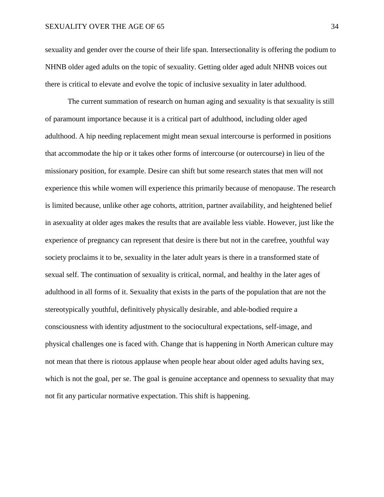sexuality and gender over the course of their life span. Intersectionality is offering the podium to NHNB older aged adults on the topic of sexuality. Getting older aged adult NHNB voices out there is critical to elevate and evolve the topic of inclusive sexuality in later adulthood.

The current summation of research on human aging and sexuality is that sexuality is still of paramount importance because it is a critical part of adulthood, including older aged adulthood. A hip needing replacement might mean sexual intercourse is performed in positions that accommodate the hip or it takes other forms of intercourse (or outercourse) in lieu of the missionary position, for example. Desire can shift but some research states that men will not experience this while women will experience this primarily because of menopause. The research is limited because, unlike other age cohorts, attrition, partner availability, and heightened belief in asexuality at older ages makes the results that are available less viable. However, just like the experience of pregnancy can represent that desire is there but not in the carefree, youthful way society proclaims it to be, sexuality in the later adult years is there in a transformed state of sexual self. The continuation of sexuality is critical, normal, and healthy in the later ages of adulthood in all forms of it. Sexuality that exists in the parts of the population that are not the stereotypically youthful, definitively physically desirable, and able-bodied require a consciousness with identity adjustment to the sociocultural expectations, self-image, and physical challenges one is faced with. Change that is happening in North American culture may not mean that there is riotous applause when people hear about older aged adults having sex, which is not the goal, per se. The goal is genuine acceptance and openness to sexuality that may not fit any particular normative expectation. This shift is happening.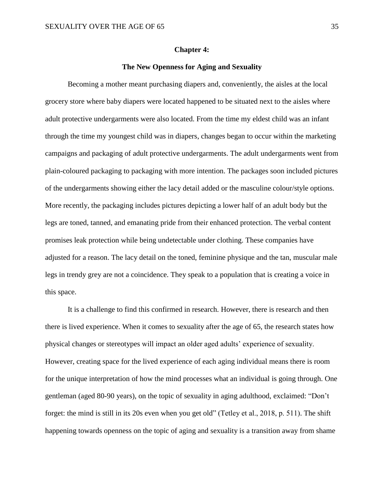#### **Chapter 4:**

# **The New Openness for Aging and Sexuality**

Becoming a mother meant purchasing diapers and, conveniently, the aisles at the local grocery store where baby diapers were located happened to be situated next to the aisles where adult protective undergarments were also located. From the time my eldest child was an infant through the time my youngest child was in diapers, changes began to occur within the marketing campaigns and packaging of adult protective undergarments. The adult undergarments went from plain-coloured packaging to packaging with more intention. The packages soon included pictures of the undergarments showing either the lacy detail added or the masculine colour/style options. More recently, the packaging includes pictures depicting a lower half of an adult body but the legs are toned, tanned, and emanating pride from their enhanced protection. The verbal content promises leak protection while being undetectable under clothing. These companies have adjusted for a reason. The lacy detail on the toned, feminine physique and the tan, muscular male legs in trendy grey are not a coincidence. They speak to a population that is creating a voice in this space.

It is a challenge to find this confirmed in research. However, there is research and then there is lived experience. When it comes to sexuality after the age of 65, the research states how physical changes or stereotypes will impact an older aged adults' experience of sexuality. However, creating space for the lived experience of each aging individual means there is room for the unique interpretation of how the mind processes what an individual is going through. One gentleman (aged 80-90 years), on the topic of sexuality in aging adulthood, exclaimed: "Don't forget: the mind is still in its 20s even when you get old" (Tetley et al., 2018, p. 511). The shift happening towards openness on the topic of aging and sexuality is a transition away from shame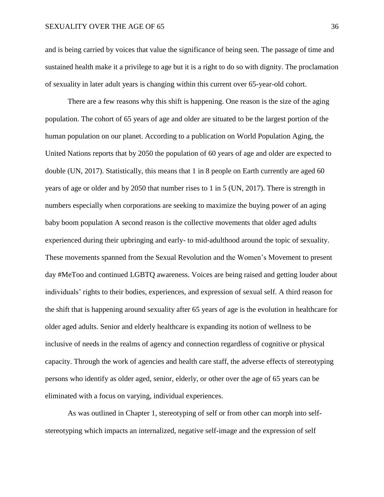and is being carried by voices that value the significance of being seen. The passage of time and sustained health make it a privilege to age but it is a right to do so with dignity. The proclamation of sexuality in later adult years is changing within this current over 65-year-old cohort.

There are a few reasons why this shift is happening. One reason is the size of the aging population. The cohort of 65 years of age and older are situated to be the largest portion of the human population on our planet. According to a publication on World Population Aging, the United Nations reports that by 2050 the population of 60 years of age and older are expected to double (UN, 2017). Statistically, this means that 1 in 8 people on Earth currently are aged 60 years of age or older and by 2050 that number rises to 1 in 5 (UN, 2017). There is strength in numbers especially when corporations are seeking to maximize the buying power of an aging baby boom population A second reason is the collective movements that older aged adults experienced during their upbringing and early- to mid-adulthood around the topic of sexuality. These movements spanned from the Sexual Revolution and the Women's Movement to present day #MeToo and continued LGBTQ awareness. Voices are being raised and getting louder about individuals' rights to their bodies, experiences, and expression of sexual self. A third reason for the shift that is happening around sexuality after 65 years of age is the evolution in healthcare for older aged adults. Senior and elderly healthcare is expanding its notion of wellness to be inclusive of needs in the realms of agency and connection regardless of cognitive or physical capacity. Through the work of agencies and health care staff, the adverse effects of stereotyping persons who identify as older aged, senior, elderly, or other over the age of 65 years can be eliminated with a focus on varying, individual experiences.

As was outlined in Chapter 1, stereotyping of self or from other can morph into selfstereotyping which impacts an internalized, negative self-image and the expression of self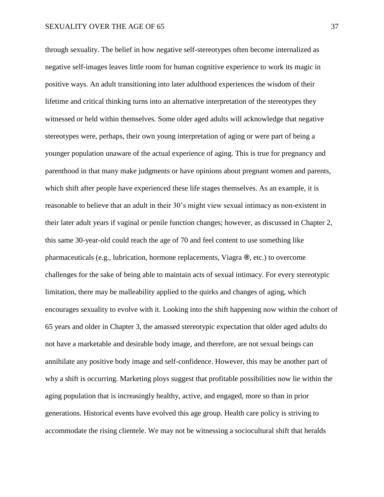through sexuality. The belief in how negative self-stereotypes often become internalized as negative self-images leaves little room for human cognitive experience to work its magic in positive ways. An adult transitioning into later adulthood experiences the wisdom of their lifetime and critical thinking turns into an alternative interpretation of the stereotypes they witnessed or held within themselves. Some older aged adults will acknowledge that negative stereotypes were, perhaps, their own young interpretation of aging or were part of being a younger population unaware of the actual experience of aging. This is true for pregnancy and parenthood in that many make judgments or have opinions about pregnant women and parents, which shift after people have experienced these life stages themselves. As an example, it is reasonable to believe that an adult in their 30's might view sexual intimacy as non-existent in their later adult years if vaginal or penile function changes; however, as discussed in Chapter 2, this same 30-year-old could reach the age of 70 and feel content to use something like pharmaceuticals (e.g., lubrication, hormone replacements, Viagra **®**, etc.) to overcome challenges for the sake of being able to maintain acts of sexual intimacy. For every stereotypic limitation, there may be malleability applied to the quirks and changes of aging, which encourages sexuality to evolve with it. Looking into the shift happening now within the cohort of 65 years and older in Chapter 3, the amassed stereotypic expectation that older aged adults do not have a marketable and desirable body image, and therefore, are not sexual beings can annihilate any positive body image and self-confidence. However, this may be another part of why a shift is occurring. Marketing ploys suggest that profitable possibilities now lie within the aging population that is increasingly healthy, active, and engaged, more so than in prior generations. Historical events have evolved this age group. Health care policy is striving to accommodate the rising clientele. We may not be witnessing a sociocultural shift that heralds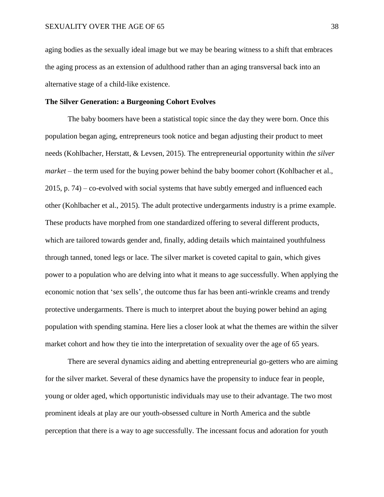aging bodies as the sexually ideal image but we may be bearing witness to a shift that embraces the aging process as an extension of adulthood rather than an aging transversal back into an alternative stage of a child-like existence.

# **The Silver Generation: a Burgeoning Cohort Evolves**

The baby boomers have been a statistical topic since the day they were born. Once this population began aging, entrepreneurs took notice and began adjusting their product to meet needs (Kohlbacher, Herstatt, & Levsen, 2015). The entrepreneurial opportunity within *the silver market* – the term used for the buying power behind the baby boomer cohort (Kohlbacher et al., 2015, p. 74) – co-evolved with social systems that have subtly emerged and influenced each other (Kohlbacher et al., 2015). The adult protective undergarments industry is a prime example. These products have morphed from one standardized offering to several different products, which are tailored towards gender and, finally, adding details which maintained youthfulness through tanned, toned legs or lace. The silver market is coveted capital to gain, which gives power to a population who are delving into what it means to age successfully. When applying the economic notion that 'sex sells'*,* the outcome thus far has been anti-wrinkle creams and trendy protective undergarments. There is much to interpret about the buying power behind an aging population with spending stamina. Here lies a closer look at what the themes are within the silver market cohort and how they tie into the interpretation of sexuality over the age of 65 years.

There are several dynamics aiding and abetting entrepreneurial go-getters who are aiming for the silver market. Several of these dynamics have the propensity to induce fear in people, young or older aged, which opportunistic individuals may use to their advantage. The two most prominent ideals at play are our youth-obsessed culture in North America and the subtle perception that there is a way to age successfully. The incessant focus and adoration for youth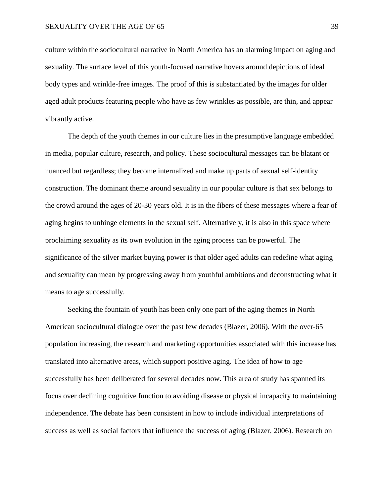culture within the sociocultural narrative in North America has an alarming impact on aging and sexuality. The surface level of this youth-focused narrative hovers around depictions of ideal body types and wrinkle-free images. The proof of this is substantiated by the images for older aged adult products featuring people who have as few wrinkles as possible, are thin, and appear vibrantly active.

The depth of the youth themes in our culture lies in the presumptive language embedded in media, popular culture, research, and policy. These sociocultural messages can be blatant or nuanced but regardless; they become internalized and make up parts of sexual self-identity construction. The dominant theme around sexuality in our popular culture is that sex belongs to the crowd around the ages of 20-30 years old. It is in the fibers of these messages where a fear of aging begins to unhinge elements in the sexual self. Alternatively, it is also in this space where proclaiming sexuality as its own evolution in the aging process can be powerful. The significance of the silver market buying power is that older aged adults can redefine what aging and sexuality can mean by progressing away from youthful ambitions and deconstructing what it means to age successfully.

Seeking the fountain of youth has been only one part of the aging themes in North American sociocultural dialogue over the past few decades (Blazer, 2006). With the over-65 population increasing, the research and marketing opportunities associated with this increase has translated into alternative areas, which support positive aging. The idea of how to age successfully has been deliberated for several decades now. This area of study has spanned its focus over declining cognitive function to avoiding disease or physical incapacity to maintaining independence. The debate has been consistent in how to include individual interpretations of success as well as social factors that influence the success of aging (Blazer, 2006). Research on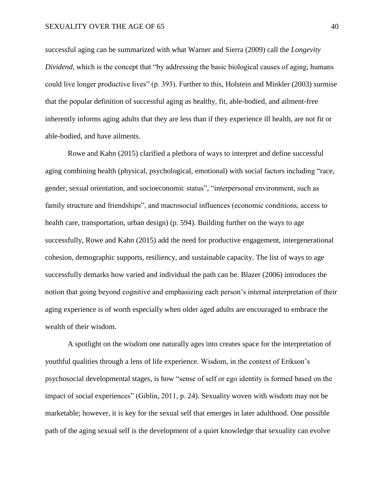successful aging can be summarized with what Warner and Sierra (2009) call the *Longevity Dividend,* which is the concept that "by addressing the basic biological causes of aging, humans could live longer productive lives" (p. 393). Further to this, Holstein and Minkler (2003) surmise that the popular definition of successful aging as healthy, fit, able-bodied, and ailment-free inherently informs aging adults that they are less than if they experience ill health, are not fit or able-bodied, and have ailments.

Rowe and Kahn (2015) clarified a plethora of ways to interpret and define successful aging combining health (physical, psychological, emotional) with social factors including "race, gender, sexual orientation, and socioeconomic status", "interpersonal environment, such as family structure and friendships", and macrosocial influences (economic conditions, access to health care, transportation, urban design) (p. 594). Building further on the ways to age successfully, Rowe and Kahn (2015) add the need for productive engagement, intergenerational cohesion, demographic supports, resiliency, and sustainable capacity. The list of ways to age successfully demarks how varied and individual the path can be. Blazer (2006) introduces the notion that going beyond cognitive and emphasizing each person's internal interpretation of their aging experience is of worth especially when older aged adults are encouraged to embrace the wealth of their wisdom.

A spotlight on the wisdom one naturally ages into creates space for the interpretation of youthful qualities through a lens of life experience. Wisdom, in the context of Erikson's psychosocial developmental stages, is how "sense of self or ego identity is formed based on the impact of social experiences" (Giblin, 2011, p. 24). Sexuality woven with wisdom may not be marketable; however, it is key for the sexual self that emerges in later adulthood. One possible path of the aging sexual self is the development of a quiet knowledge that sexuality can evolve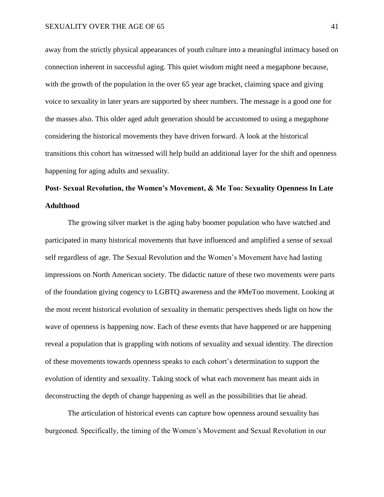away from the strictly physical appearances of youth culture into a meaningful intimacy based on connection inherent in successful aging. This quiet wisdom might need a megaphone because, with the growth of the population in the over 65 year age bracket, claiming space and giving voice to sexuality in later years are supported by sheer numbers. The message is a good one for the masses also. This older aged adult generation should be accustomed to using a megaphone considering the historical movements they have driven forward. A look at the historical transitions this cohort has witnessed will help build an additional layer for the shift and openness happening for aging adults and sexuality.

# **Post- Sexual Revolution, the Women's Movement, & Me Too: Sexuality Openness In Late Adulthood**

The growing silver market is the aging baby boomer population who have watched and participated in many historical movements that have influenced and amplified a sense of sexual self regardless of age. The Sexual Revolution and the Women's Movement have had lasting impressions on North American society. The didactic nature of these two movements were parts of the foundation giving cogency to LGBTQ awareness and the #MeToo movement. Looking at the most recent historical evolution of sexuality in thematic perspectives sheds light on how the wave of openness is happening now. Each of these events that have happened or are happening reveal a population that is grappling with notions of sexuality and sexual identity. The direction of these movements towards openness speaks to each cohort's determination to support the evolution of identity and sexuality. Taking stock of what each movement has meant aids in deconstructing the depth of change happening as well as the possibilities that lie ahead.

The articulation of historical events can capture how openness around sexuality has burgeoned. Specifically, the timing of the Women's Movement and Sexual Revolution in our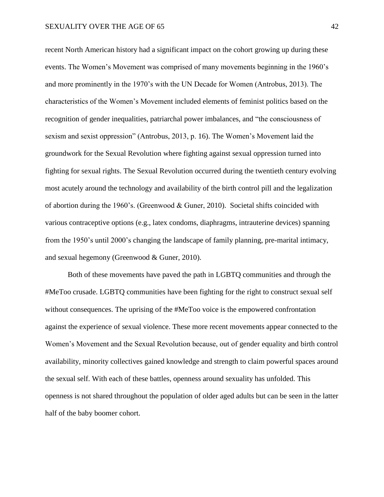recent North American history had a significant impact on the cohort growing up during these events. The Women's Movement was comprised of many movements beginning in the 1960's and more prominently in the 1970's with the UN Decade for Women (Antrobus, 2013). The characteristics of the Women's Movement included elements of feminist politics based on the recognition of gender inequalities, patriarchal power imbalances, and "the consciousness of sexism and sexist oppression" (Antrobus, 2013, p. 16). The Women's Movement laid the groundwork for the Sexual Revolution where fighting against sexual oppression turned into fighting for sexual rights. The Sexual Revolution occurred during the twentieth century evolving most acutely around the technology and availability of the birth control pill and the legalization of abortion during the 1960's. (Greenwood & Guner, 2010). Societal shifts coincided with various contraceptive options (e.g., latex condoms, diaphragms, intrauterine devices) spanning from the 1950's until 2000's changing the landscape of family planning, pre-marital intimacy, and sexual hegemony (Greenwood & Guner, 2010).

Both of these movements have paved the path in LGBTQ communities and through the #MeToo crusade. LGBTQ communities have been fighting for the right to construct sexual self without consequences. The uprising of the #MeToo voice is the empowered confrontation against the experience of sexual violence. These more recent movements appear connected to the Women's Movement and the Sexual Revolution because, out of gender equality and birth control availability, minority collectives gained knowledge and strength to claim powerful spaces around the sexual self. With each of these battles, openness around sexuality has unfolded. This openness is not shared throughout the population of older aged adults but can be seen in the latter half of the baby boomer cohort.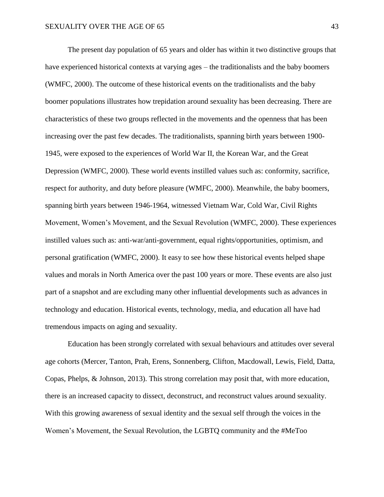The present day population of 65 years and older has within it two distinctive groups that have experienced historical contexts at varying ages – the traditionalists and the baby boomers (WMFC, 2000). The outcome of these historical events on the traditionalists and the baby boomer populations illustrates how trepidation around sexuality has been decreasing. There are characteristics of these two groups reflected in the movements and the openness that has been increasing over the past few decades. The traditionalists, spanning birth years between 1900- 1945, were exposed to the experiences of World War II, the Korean War, and the Great Depression (WMFC, 2000). These world events instilled values such as: conformity, sacrifice, respect for authority, and duty before pleasure (WMFC, 2000). Meanwhile, the baby boomers, spanning birth years between 1946-1964, witnessed Vietnam War, Cold War, Civil Rights Movement, Women's Movement, and the Sexual Revolution (WMFC, 2000). These experiences instilled values such as: anti-war/anti-government, equal rights/opportunities, optimism, and personal gratification (WMFC, 2000). It easy to see how these historical events helped shape values and morals in North America over the past 100 years or more. These events are also just part of a snapshot and are excluding many other influential developments such as advances in technology and education. Historical events, technology, media, and education all have had tremendous impacts on aging and sexuality.

Education has been strongly correlated with sexual behaviours and attitudes over several age cohorts (Mercer, Tanton, Prah, Erens, Sonnenberg, Clifton, Macdowall, Lewis, Field, Datta, Copas, Phelps, & Johnson, 2013). This strong correlation may posit that, with more education, there is an increased capacity to dissect, deconstruct, and reconstruct values around sexuality. With this growing awareness of sexual identity and the sexual self through the voices in the Women's Movement, the Sexual Revolution, the LGBTQ community and the #MeToo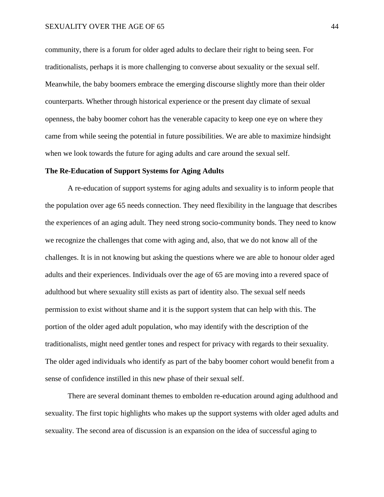community, there is a forum for older aged adults to declare their right to being seen. For traditionalists, perhaps it is more challenging to converse about sexuality or the sexual self. Meanwhile, the baby boomers embrace the emerging discourse slightly more than their older counterparts. Whether through historical experience or the present day climate of sexual openness, the baby boomer cohort has the venerable capacity to keep one eye on where they came from while seeing the potential in future possibilities. We are able to maximize hindsight when we look towards the future for aging adults and care around the sexual self.

#### **The Re-Education of Support Systems for Aging Adults**

A re-education of support systems for aging adults and sexuality is to inform people that the population over age 65 needs connection. They need flexibility in the language that describes the experiences of an aging adult. They need strong socio-community bonds. They need to know we recognize the challenges that come with aging and, also, that we do not know all of the challenges. It is in not knowing but asking the questions where we are able to honour older aged adults and their experiences. Individuals over the age of 65 are moving into a revered space of adulthood but where sexuality still exists as part of identity also. The sexual self needs permission to exist without shame and it is the support system that can help with this. The portion of the older aged adult population, who may identify with the description of the traditionalists, might need gentler tones and respect for privacy with regards to their sexuality. The older aged individuals who identify as part of the baby boomer cohort would benefit from a sense of confidence instilled in this new phase of their sexual self.

There are several dominant themes to embolden re-education around aging adulthood and sexuality. The first topic highlights who makes up the support systems with older aged adults and sexuality. The second area of discussion is an expansion on the idea of successful aging to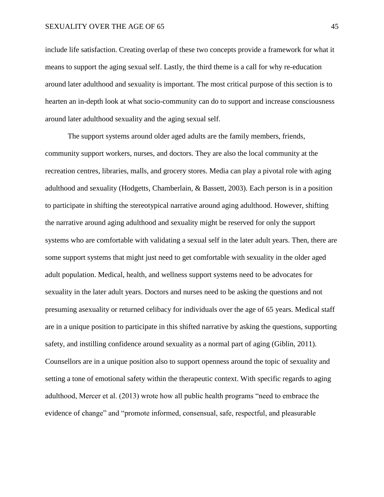include life satisfaction. Creating overlap of these two concepts provide a framework for what it means to support the aging sexual self. Lastly, the third theme is a call for why re-education around later adulthood and sexuality is important. The most critical purpose of this section is to hearten an in-depth look at what socio-community can do to support and increase consciousness around later adulthood sexuality and the aging sexual self.

The support systems around older aged adults are the family members, friends, community support workers, nurses, and doctors. They are also the local community at the recreation centres, libraries, malls, and grocery stores. Media can play a pivotal role with aging adulthood and sexuality (Hodgetts, Chamberlain, & Bassett, 2003). Each person is in a position to participate in shifting the stereotypical narrative around aging adulthood. However, shifting the narrative around aging adulthood and sexuality might be reserved for only the support systems who are comfortable with validating a sexual self in the later adult years. Then, there are some support systems that might just need to get comfortable with sexuality in the older aged adult population. Medical, health, and wellness support systems need to be advocates for sexuality in the later adult years. Doctors and nurses need to be asking the questions and not presuming asexuality or returned celibacy for individuals over the age of 65 years. Medical staff are in a unique position to participate in this shifted narrative by asking the questions, supporting safety, and instilling confidence around sexuality as a normal part of aging (Giblin, 2011). Counsellors are in a unique position also to support openness around the topic of sexuality and setting a tone of emotional safety within the therapeutic context. With specific regards to aging adulthood, Mercer et al. (2013) wrote how all public health programs "need to embrace the evidence of change" and "promote informed, consensual, safe, respectful, and pleasurable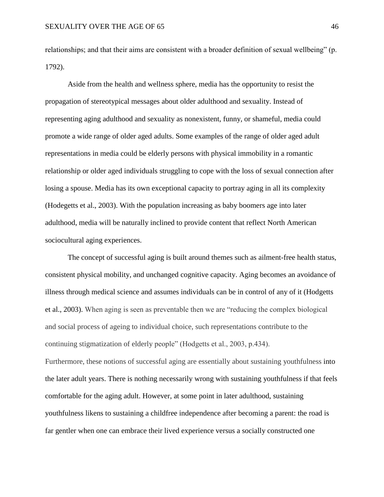relationships; and that their aims are consistent with a broader definition of sexual wellbeing" (p. 1792).

Aside from the health and wellness sphere, media has the opportunity to resist the propagation of stereotypical messages about older adulthood and sexuality. Instead of representing aging adulthood and sexuality as nonexistent, funny, or shameful, media could promote a wide range of older aged adults. Some examples of the range of older aged adult representations in media could be elderly persons with physical immobility in a romantic relationship or older aged individuals struggling to cope with the loss of sexual connection after losing a spouse. Media has its own exceptional capacity to portray aging in all its complexity (Hodegetts et al., 2003). With the population increasing as baby boomers age into later adulthood, media will be naturally inclined to provide content that reflect North American sociocultural aging experiences.

The concept of successful aging is built around themes such as ailment-free health status, consistent physical mobility, and unchanged cognitive capacity. Aging becomes an avoidance of illness through medical science and assumes individuals can be in control of any of it (Hodgetts et al., 2003). When aging is seen as preventable then we are "reducing the complex biological and social process of ageing to individual choice, such representations contribute to the continuing stigmatization of elderly people" (Hodgetts et al., 2003, p.434). Furthermore, these notions of successful aging are essentially about sustaining youthfulness into the later adult years. There is nothing necessarily wrong with sustaining youthfulness if that feels comfortable for the aging adult. However, at some point in later adulthood, sustaining youthfulness likens to sustaining a childfree independence after becoming a parent: the road is far gentler when one can embrace their lived experience versus a socially constructed one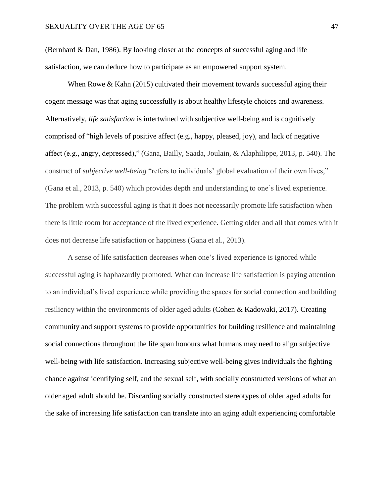(Bernhard & Dan, 1986). By looking closer at the concepts of successful aging and life satisfaction, we can deduce how to participate as an empowered support system.

When Rowe & Kahn (2015) cultivated their movement towards successful aging their cogent message was that aging successfully is about healthy lifestyle choices and awareness. Alternatively, *life satisfaction* is intertwined with subjective well-being and is cognitively comprised of "high levels of positive affect (e.g., happy, pleased, joy), and lack of negative affect (e.g., angry, depressed)," (Gana, Bailly, Saada, Joulain, & Alaphilippe, 2013, p. 540). The construct of *subjective well-being* "refers to individuals' global evaluation of their own lives," (Gana et al., 2013, p. 540) which provides depth and understanding to one's lived experience. The problem with successful aging is that it does not necessarily promote life satisfaction when there is little room for acceptance of the lived experience. Getting older and all that comes with it does not decrease life satisfaction or happiness (Gana et al., 2013).

A sense of life satisfaction decreases when one's lived experience is ignored while successful aging is haphazardly promoted. What can increase life satisfaction is paying attention to an individual's lived experience while providing the spaces for social connection and building resiliency within the environments of older aged adults (Cohen & Kadowaki, 2017). Creating community and support systems to provide opportunities for building resilience and maintaining social connections throughout the life span honours what humans may need to align subjective well-being with life satisfaction. Increasing subjective well-being gives individuals the fighting chance against identifying self, and the sexual self, with socially constructed versions of what an older aged adult should be. Discarding socially constructed stereotypes of older aged adults for the sake of increasing life satisfaction can translate into an aging adult experiencing comfortable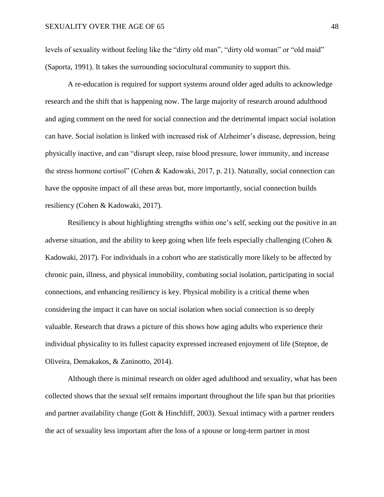levels of sexuality without feeling like the "dirty old man", "dirty old woman" or "old maid" (Saporta, 1991). It takes the surrounding sociocultural community to support this.

A re-education is required for support systems around older aged adults to acknowledge research and the shift that is happening now. The large majority of research around adulthood and aging comment on the need for social connection and the detrimental impact social isolation can have. Social isolation is linked with increased risk of Alzheimer's disease, depression, being physically inactive, and can "disrupt sleep, raise blood pressure, lower immunity, and increase the stress hormone cortisol" (Cohen & Kadowaki, 2017, p. 21). Naturally, social connection can have the opposite impact of all these areas but, more importantly, social connection builds resiliency (Cohen & Kadowaki, 2017).

Resiliency is about highlighting strengths within one's self, seeking out the positive in an adverse situation, and the ability to keep going when life feels especially challenging (Cohen & Kadowaki, 2017). For individuals in a cohort who are statistically more likely to be affected by chronic pain, illness, and physical immobility, combating social isolation, participating in social connections, and enhancing resiliency is key. Physical mobility is a critical theme when considering the impact it can have on social isolation when social connection is so deeply valuable. Research that draws a picture of this shows how aging adults who experience their individual physicality to its fullest capacity expressed increased enjoyment of life (Steptoe, de Oliveira, Demakakos, & Zaninotto, 2014).

Although there is minimal research on older aged adulthood and sexuality, what has been collected shows that the sexual self remains important throughout the life span but that priorities and partner availability change (Gott & Hinchliff, 2003). Sexual intimacy with a partner renders the act of sexuality less important after the loss of a spouse or long-term partner in most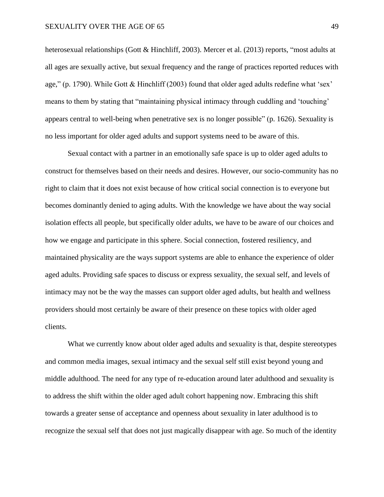heterosexual relationships (Gott & Hinchliff, 2003). Mercer et al. (2013) reports, "most adults at all ages are sexually active, but sexual frequency and the range of practices reported reduces with age," (p. 1790). While Gott & Hinchliff (2003) found that older aged adults redefine what 'sex' means to them by stating that "maintaining physical intimacy through cuddling and 'touching' appears central to well-being when penetrative sex is no longer possible" (p. 1626). Sexuality is no less important for older aged adults and support systems need to be aware of this.

Sexual contact with a partner in an emotionally safe space is up to older aged adults to construct for themselves based on their needs and desires. However, our socio-community has no right to claim that it does not exist because of how critical social connection is to everyone but becomes dominantly denied to aging adults. With the knowledge we have about the way social isolation effects all people, but specifically older adults, we have to be aware of our choices and how we engage and participate in this sphere. Social connection, fostered resiliency, and maintained physicality are the ways support systems are able to enhance the experience of older aged adults. Providing safe spaces to discuss or express sexuality, the sexual self, and levels of intimacy may not be the way the masses can support older aged adults, but health and wellness providers should most certainly be aware of their presence on these topics with older aged clients.

What we currently know about older aged adults and sexuality is that, despite stereotypes and common media images, sexual intimacy and the sexual self still exist beyond young and middle adulthood. The need for any type of re-education around later adulthood and sexuality is to address the shift within the older aged adult cohort happening now. Embracing this shift towards a greater sense of acceptance and openness about sexuality in later adulthood is to recognize the sexual self that does not just magically disappear with age. So much of the identity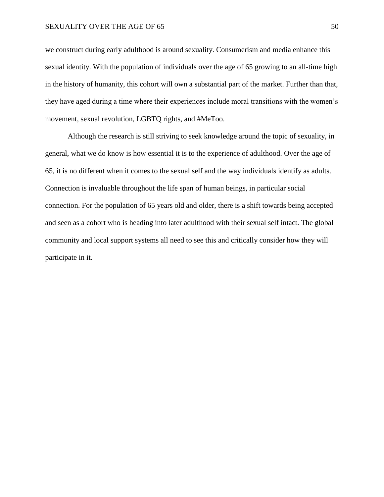#### SEXUALITY OVER THE AGE OF 65 50 500 SEXUALITY OVER THE AGE OF 65

we construct during early adulthood is around sexuality. Consumerism and media enhance this sexual identity. With the population of individuals over the age of 65 growing to an all-time high in the history of humanity, this cohort will own a substantial part of the market. Further than that, they have aged during a time where their experiences include moral transitions with the women's movement, sexual revolution, LGBTQ rights, and #MeToo.

Although the research is still striving to seek knowledge around the topic of sexuality, in general, what we do know is how essential it is to the experience of adulthood. Over the age of 65, it is no different when it comes to the sexual self and the way individuals identify as adults. Connection is invaluable throughout the life span of human beings, in particular social connection. For the population of 65 years old and older, there is a shift towards being accepted and seen as a cohort who is heading into later adulthood with their sexual self intact. The global community and local support systems all need to see this and critically consider how they will participate in it.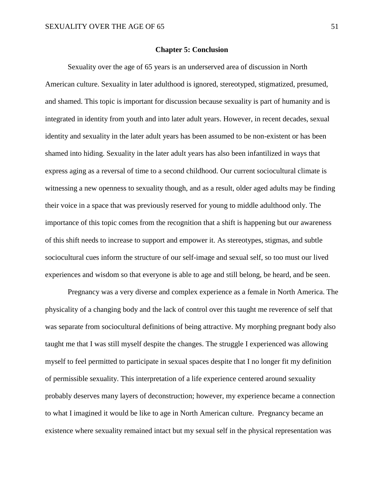# **Chapter 5: Conclusion**

Sexuality over the age of 65 years is an underserved area of discussion in North American culture. Sexuality in later adulthood is ignored, stereotyped, stigmatized, presumed, and shamed. This topic is important for discussion because sexuality is part of humanity and is integrated in identity from youth and into later adult years. However, in recent decades, sexual identity and sexuality in the later adult years has been assumed to be non-existent or has been shamed into hiding. Sexuality in the later adult years has also been infantilized in ways that express aging as a reversal of time to a second childhood. Our current sociocultural climate is witnessing a new openness to sexuality though, and as a result, older aged adults may be finding their voice in a space that was previously reserved for young to middle adulthood only. The importance of this topic comes from the recognition that a shift is happening but our awareness of this shift needs to increase to support and empower it. As stereotypes, stigmas, and subtle sociocultural cues inform the structure of our self-image and sexual self, so too must our lived experiences and wisdom so that everyone is able to age and still belong, be heard, and be seen.

Pregnancy was a very diverse and complex experience as a female in North America. The physicality of a changing body and the lack of control over this taught me reverence of self that was separate from sociocultural definitions of being attractive. My morphing pregnant body also taught me that I was still myself despite the changes. The struggle I experienced was allowing myself to feel permitted to participate in sexual spaces despite that I no longer fit my definition of permissible sexuality. This interpretation of a life experience centered around sexuality probably deserves many layers of deconstruction; however, my experience became a connection to what I imagined it would be like to age in North American culture. Pregnancy became an existence where sexuality remained intact but my sexual self in the physical representation was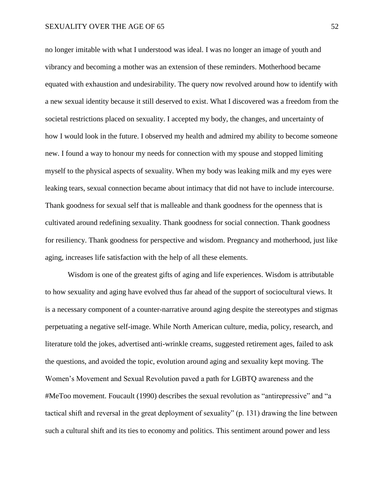no longer imitable with what I understood was ideal. I was no longer an image of youth and vibrancy and becoming a mother was an extension of these reminders. Motherhood became equated with exhaustion and undesirability. The query now revolved around how to identify with a new sexual identity because it still deserved to exist. What I discovered was a freedom from the societal restrictions placed on sexuality. I accepted my body, the changes, and uncertainty of how I would look in the future. I observed my health and admired my ability to become someone new. I found a way to honour my needs for connection with my spouse and stopped limiting myself to the physical aspects of sexuality. When my body was leaking milk and my eyes were leaking tears, sexual connection became about intimacy that did not have to include intercourse. Thank goodness for sexual self that is malleable and thank goodness for the openness that is cultivated around redefining sexuality. Thank goodness for social connection. Thank goodness for resiliency. Thank goodness for perspective and wisdom. Pregnancy and motherhood, just like aging, increases life satisfaction with the help of all these elements.

Wisdom is one of the greatest gifts of aging and life experiences. Wisdom is attributable to how sexuality and aging have evolved thus far ahead of the support of sociocultural views. It is a necessary component of a counter-narrative around aging despite the stereotypes and stigmas perpetuating a negative self-image. While North American culture, media, policy, research, and literature told the jokes, advertised anti-wrinkle creams, suggested retirement ages, failed to ask the questions, and avoided the topic, evolution around aging and sexuality kept moving. The Women's Movement and Sexual Revolution paved a path for LGBTQ awareness and the #MeToo movement. Foucault (1990) describes the sexual revolution as "antirepressive" and "a tactical shift and reversal in the great deployment of sexuality" (p. 131) drawing the line between such a cultural shift and its ties to economy and politics. This sentiment around power and less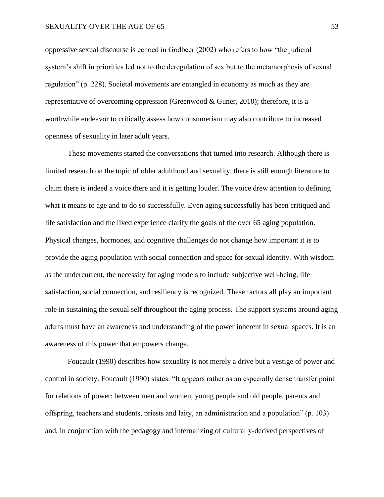oppressive sexual discourse is echoed in Godbeer (2002) who refers to how "the judicial system's shift in priorities led not to the deregulation of sex but to the metamorphosis of sexual regulation" (p. 228). Societal movements are entangled in economy as much as they are representative of overcoming oppression (Greenwood & Guner, 2010); therefore, it is a worthwhile endeavor to critically assess how consumerism may also contribute to increased openness of sexuality in later adult years.

These movements started the conversations that turned into research. Although there is limited research on the topic of older adulthood and sexuality, there is still enough literature to claim there is indeed a voice there and it is getting louder. The voice drew attention to defining what it means to age and to do so successfully. Even aging successfully has been critiqued and life satisfaction and the lived experience clarify the goals of the over 65 aging population. Physical changes, hormones, and cognitive challenges do not change how important it is to provide the aging population with social connection and space for sexual identity. With wisdom as the undercurrent, the necessity for aging models to include subjective well-being, life satisfaction, social connection, and resiliency is recognized. These factors all play an important role in sustaining the sexual self throughout the aging process. The support systems around aging adults must have an awareness and understanding of the power inherent in sexual spaces. It is an awareness of this power that empowers change.

Foucault (1990) describes how sexuality is not merely a drive but a vestige of power and control in society. Foucault (1990) states: "It appears rather as an especially dense transfer point for relations of power: between men and women, young people and old people, parents and offspring, teachers and students, priests and laity, an administration and a population" (p. 103) and, in conjunction with the pedagogy and internalizing of culturally-derived perspectives of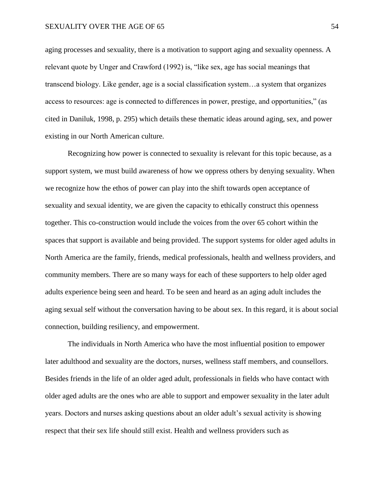aging processes and sexuality, there is a motivation to support aging and sexuality openness. A relevant quote by Unger and Crawford (1992) is, "like sex, age has social meanings that transcend biology. Like gender, age is a social classification system…a system that organizes access to resources: age is connected to differences in power, prestige, and opportunities," (as cited in Daniluk, 1998, p. 295) which details these thematic ideas around aging, sex, and power existing in our North American culture.

Recognizing how power is connected to sexuality is relevant for this topic because, as a support system, we must build awareness of how we oppress others by denying sexuality. When we recognize how the ethos of power can play into the shift towards open acceptance of sexuality and sexual identity, we are given the capacity to ethically construct this openness together. This co-construction would include the voices from the over 65 cohort within the spaces that support is available and being provided. The support systems for older aged adults in North America are the family, friends, medical professionals, health and wellness providers, and community members. There are so many ways for each of these supporters to help older aged adults experience being seen and heard. To be seen and heard as an aging adult includes the aging sexual self without the conversation having to be about sex. In this regard, it is about social connection, building resiliency, and empowerment.

The individuals in North America who have the most influential position to empower later adulthood and sexuality are the doctors, nurses, wellness staff members, and counsellors. Besides friends in the life of an older aged adult, professionals in fields who have contact with older aged adults are the ones who are able to support and empower sexuality in the later adult years. Doctors and nurses asking questions about an older adult's sexual activity is showing respect that their sex life should still exist. Health and wellness providers such as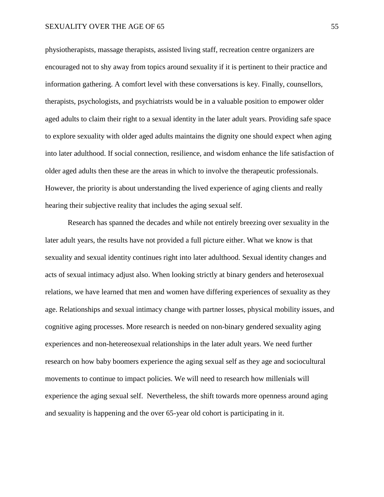physiotherapists, massage therapists, assisted living staff, recreation centre organizers are encouraged not to shy away from topics around sexuality if it is pertinent to their practice and information gathering. A comfort level with these conversations is key. Finally, counsellors, therapists, psychologists, and psychiatrists would be in a valuable position to empower older aged adults to claim their right to a sexual identity in the later adult years. Providing safe space to explore sexuality with older aged adults maintains the dignity one should expect when aging into later adulthood. If social connection, resilience, and wisdom enhance the life satisfaction of older aged adults then these are the areas in which to involve the therapeutic professionals. However, the priority is about understanding the lived experience of aging clients and really hearing their subjective reality that includes the aging sexual self.

Research has spanned the decades and while not entirely breezing over sexuality in the later adult years, the results have not provided a full picture either. What we know is that sexuality and sexual identity continues right into later adulthood. Sexual identity changes and acts of sexual intimacy adjust also. When looking strictly at binary genders and heterosexual relations, we have learned that men and women have differing experiences of sexuality as they age. Relationships and sexual intimacy change with partner losses, physical mobility issues, and cognitive aging processes. More research is needed on non-binary gendered sexuality aging experiences and non-hetereosexual relationships in the later adult years. We need further research on how baby boomers experience the aging sexual self as they age and sociocultural movements to continue to impact policies. We will need to research how millenials will experience the aging sexual self. Nevertheless, the shift towards more openness around aging and sexuality is happening and the over 65-year old cohort is participating in it.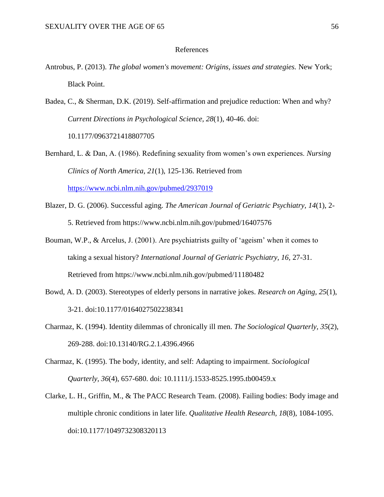# References

- Antrobus, P. (2013). *The global women's movement: Origins, issues and strategies.* New York; Black Point.
- Badea, C., & Sherman, D.K. (2019). Self-affirmation and prejudice reduction: When and why? *Current Directions in Psychological Science, 28*(1), 40-46. doi: 10.1177/0963721418807705
- Bernhard, L. & Dan, A. (1986). Redefining sexuality from women's own experiences. *Nursing Clinics of North America, 21*(1), 125-136. Retrieved from <https://www.ncbi.nlm.nih.gov/pubmed/2937019>
- Blazer, D. G. (2006). Successful aging. *The American Journal of Geriatric Psychiatry, 14*(1), 2- 5. Retrieved from https://www.ncbi.nlm.nih.gov/pubmed/16407576
- Bouman, W.P., & Arcelus, J. (2001). Are psychiatrists guilty of 'ageism' when it comes to taking a sexual history? *International Journal of Geriatric Psychiatry, 16,* 27-31. Retrieved from https://www.ncbi.nlm.nih.gov/pubmed/11180482
- Bowd, A. D. (2003). Stereotypes of elderly persons in narrative jokes. *Research on Aging, 25*(1), 3-21. doi:10.1177/0164027502238341
- Charmaz, K. (1994). Identity dilemmas of chronically ill men. *The Sociological Quarterly, 35*(2), 269-288. doi:10.13140/RG.2.1.4396.4966
- Charmaz, K. (1995). The body, identity, and self: Adapting to impairment. *Sociological Quarterly, 36*(4), 657-680. doi: 10.1111/j.1533-8525.1995.tb00459.x
- Clarke, L. H., Griffin, M., & The PACC Research Team. (2008). Failing bodies: Body image and multiple chronic conditions in later life. *Qualitative Health Research, 18*(8), 1084-1095. doi:10.1177/1049732308320113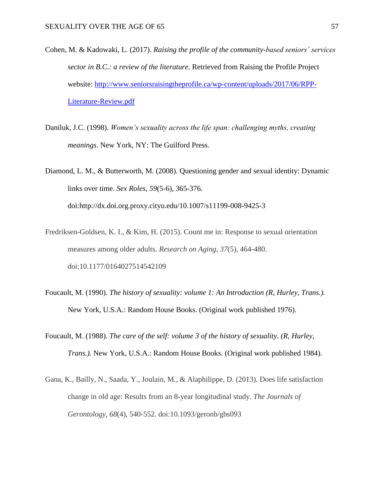- Cohen, M. & Kadowaki, L. (2017). *Raising the profile of the community-based seniors' services sector in B.C.: a review of the literature*. Retrieved from Raising the Profile Project website: [http://www.seniorsraisingtheprofile.ca/wp-content/uploads/2017/06/RPP-](http://www.seniorsraisingtheprofile.ca/wp-content/uploads/2017/06/RPP-Literature-Review.pdf)[Literature-Review.pdf](http://www.seniorsraisingtheprofile.ca/wp-content/uploads/2017/06/RPP-Literature-Review.pdf)
- Daniluk, J.C. (1998). *Women's sexuality across the life span: challenging myths, creating meanings*. New York, NY: The Guilford Press.
- Diamond, L. M., & Butterworth, M. (2008). Questioning gender and sexual identity: Dynamic links over time. *Sex Roles, 59*(5-6), 365-376. doi:http://dx.doi.org.proxy.cityu.edu/10.1007/s11199-008-9425-3
- Fredriksen-Goldsen, K. I., & Kim, H. (2015). Count me in: Response to sexual orientation measures among older adults. *Research on Aging, 37*(5), 464-480. doi:10.1177/0164027514542109
- Foucault, M. (1990). *The history of sexuality: volume 1: An Introduction (R, Hurley, Trans.).*  New York, U.S.A.: Random House Books. (Original work published 1976).
- Foucault, M. (1988). *The care of the self: volume 3 of the history of sexuality*. *(R, Hurley, Trans.).* New York, U.S.A.: Random House Books. (Original work published 1984).
- Gana, K., Bailly, N., Saada, Y., Joulain, M., & Alaphilippe, D. (2013). Does life satisfaction change in old age: Results from an 8-year longitudinal study. *The Journals of Gerontology, 68*(4), 540-552. doi:10.1093/geronb/gbs093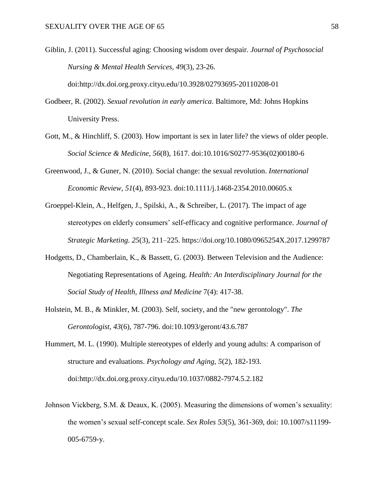- Giblin, J. (2011). Successful aging: Choosing wisdom over despair. *Journal of Psychosocial Nursing & Mental Health Services, 49*(3), 23-26. doi:http://dx.doi.org.proxy.cityu.edu/10.3928/02793695-20110208-01
- Godbeer, R. (2002). *Sexual revolution in early america*. Baltimore, Md: Johns Hopkins University Press.
- Gott, M., & Hinchliff, S. (2003). How important is sex in later life? the views of older people. *Social Science & Medicine, 56*(8), 1617. doi:10.1016/S0277-9536(02)00180-6
- Greenwood, J., & Guner, N. (2010). Social change: the sexual revolution. *International Economic Review, 51*(4), 893-923. doi:10.1111/j.1468-2354.2010.00605.x
- Groeppel-Klein, A., Helfgen, J., Spilski, A., & Schreiber, L. (2017). The impact of age stereotypes on elderly consumers' self-efficacy and cognitive performance. *Journal of Strategic Marketing. 25*(3), 211–225. https://doi.org/10.1080/0965254X.2017.1299787
- Hodgetts, D., Chamberlain, K., & Bassett, G. (2003). Between Television and the Audience: Negotiating Representations of Ageing. *Health: An Interdisciplinary Journal for the Social Study of Health, Illness and Medicine* 7(4): 417-38.
- Holstein, M. B., & Minkler, M. (2003). Self, society, and the "new gerontology". *The Gerontologist, 43*(6), 787-796. doi:10.1093/geront/43.6.787
- Hummert, M. L. (1990). Multiple stereotypes of elderly and young adults: A comparison of structure and evaluations. *Psychology and Aging, 5*(2), 182-193. doi:http://dx.doi.org.proxy.cityu.edu/10.1037/0882-7974.5.2.182
- Johnson Vickberg, S.M. & Deaux, K. (2005). Measuring the dimensions of women's sexuality: the women's sexual self-concept scale. *Sex Roles 53*(5), 361-369, doi: 10.1007/s11199- 005-6759-y.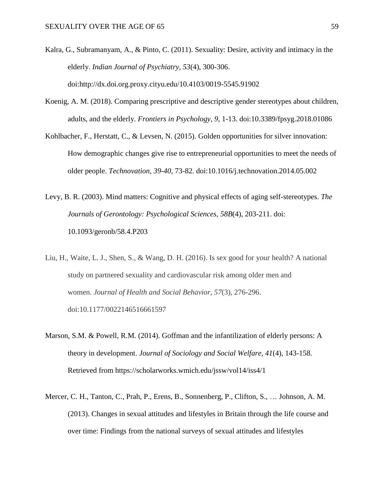- Kalra, G., Subramanyam, A., & Pinto, C. (2011). Sexuality: Desire, activity and intimacy in the elderly. *Indian Journal of Psychiatry, 53*(4), 300-306. doi:http://dx.doi.org.proxy.cityu.edu/10.4103/0019-5545.91902
- Koenig, A. M. (2018). Comparing prescriptive and descriptive gender stereotypes about children, adults, and the elderly. *Frontiers in Psychology, 9*, 1-13. doi:10.3389/fpsyg.2018.01086
- Kohlbacher, F., Herstatt, C., & Levsen, N. (2015). Golden opportunities for silver innovation: How demographic changes give rise to entrepreneurial opportunities to meet the needs of older people. *Technovation, 39-40*, 73-82. doi:10.1016/j.technovation.2014.05.002
- Levy, B. R. (2003). Mind matters: Cognitive and physical effects of aging self-stereotypes. *The Journals of Gerontology: Psychological Sciences, 58B*(4), 203-211. doi: 10.1093/geronb/58.4.P203
- Liu, H., Waite, L. J., Shen, S., & Wang, D. H. (2016). Is sex good for your health? A national study on partnered sexuality and cardiovascular risk among older men and women. *Journal of Health and Social Behavior, 57*(3), 276-296. doi:10.1177/0022146516661597
- Marson, S.M. & Powell, R.M. (2014). Goffman and the infantilization of elderly persons: A theory in development. *Journal of Sociology and Social Welfare, 41*(4), 143-158. Retrieved from https://scholarworks.wmich.edu/jssw/vol14/iss4/1
- Mercer, C. H., Tanton, C., Prah, P., Erens, B., Sonnenberg, P., Clifton, S., … Johnson, A. M. (2013). Changes in sexual attitudes and lifestyles in Britain through the life course and over time: Findings from the national surveys of sexual attitudes and lifestyles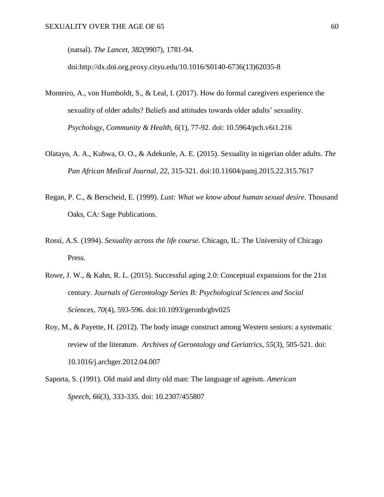(natsal). *The Lancet, 382*(9907), 1781-94.

doi:http://dx.doi.org.proxy.cityu.edu/10.1016/S0140-6736(13)62035-8

- Monteiro, A., von Humboldt, S., & Leal, I. (2017). How do formal caregivers experience the sexuality of older adults? Beliefs and attitudes towards older adults' sexuality. *Psychology, Community & Health, 6*(1), 77-92. doi: 10.5964/pch.v6i1.216
- Olatayo, A. A., Kubwa, O. O., & Adekunle, A. E. (2015). Sexuality in nigerian older adults. *The Pan African Medical Journal, 22*, 315-321. doi:10.11604/pamj.2015.22.315.7617
- Regan, P. C., & Berscheid, E. (1999). *Lust: What we know about human sexual desire*. Thousand Oaks, CA: Sage Publications.
- Rossi, A.S. (1994). *Sexuality across the life course.* Chicago, IL: The University of Chicago Press.
- Rowe, J. W., & Kahn, R. L. (2015). Successful aging 2.0: Conceptual expansions for the 21st century. *Journals of Gerontology Series B: Psychological Sciences and Social Sciences, 70*(4), 593-596. doi:10.1093/geronb/gbv025
- Roy, M., & Payette, H. (2012). The body image construct among Western seniors: a systematic review of the literature. *Archives of Gerontology and Geriatrics, 55*(3), 505-521. doi: 10.1016/j.archger.2012.04.007
- Saporta, S. (1991). Old maid and dirty old man: The language of ageism. *American Speech, 66*(3), 333-335. doi: 10.2307/455807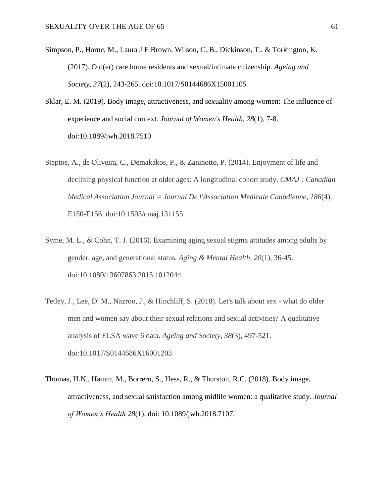- Simpson, P., Horne, M., Laura J E Brown, Wilson, C. B., Dickinson, T., & Torkington, K. (2017). Old(er) care home residents and sexual/intimate citizenship. *Ageing and Society, 37*(2), 243-265. doi:10.1017/S0144686X15001105
- Sklar, E. M. (2019). Body image, attractiveness, and sexuality among women: The influence of experience and social context. *Journal of Women's Health, 28*(1), 7-8. doi:10.1089/jwh.2018.7510
- Steptoe, A., de Oliveira, C., Demakakos, P., & Zaninotto, P. (2014). Enjoyment of life and declining physical function at older ages: A longitudinal cohort study. *CMAJ : Canadian Medical Association Journal = Journal De l'Association Medicale Canadienne, 186*(4), E150-E156. doi:10.1503/cmaj.131155
- Syme, M. L., & Cohn, T. J. (2016). Examining aging sexual stigma attitudes among adults by gender, age, and generational status. *Aging & Mental Health, 20*(1), 36-45. doi:10.1080/13607863.2015.1012044
- Tetley, J., Lee, D. M., Nazroo, J., & Hinchliff, S. (2018). Let's talk about sex what do older men and women say about their sexual relations and sexual activities? A qualitative analysis of ELSA wave 6 data. *Ageing and Society, 38*(3), 497-521. doi:10.1017/S0144686X16001203
- Thomas, H.N., Hamm, M., Borrero, S., Hess, R., & Thurston, R.C. (2018). Body image, attractiveness, and sexual satisfaction among midlife women: a qualitative study. *Journal of Women's Health 28*(1), doi: 10.1089/jwh.2018.7107.